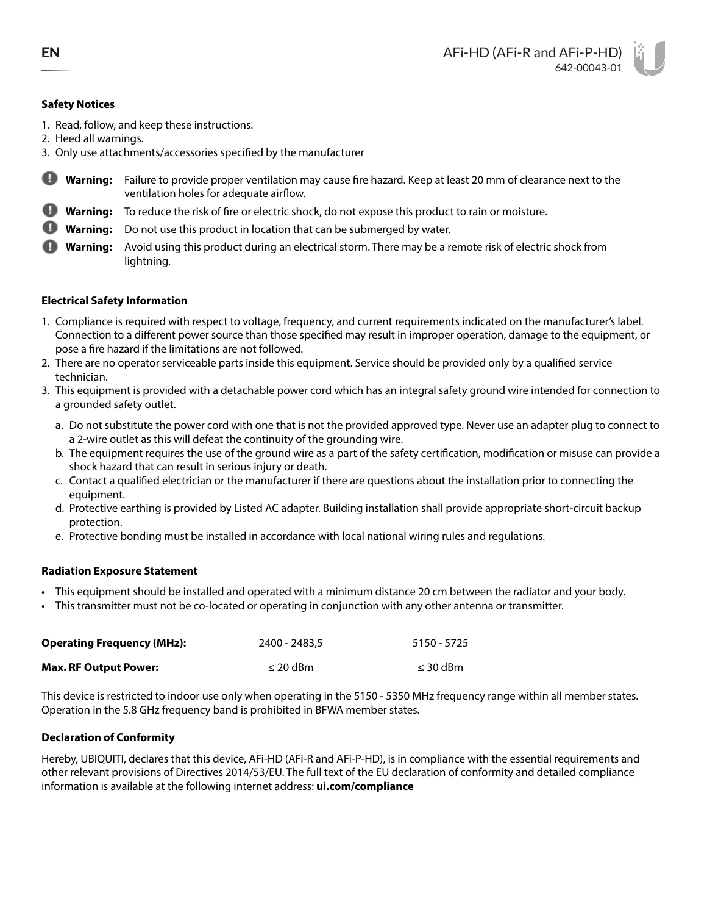## **Safety Notices**

- 1. Read, follow, and keep these instructions.
- 2. Heed all warnings.
- 3. Only use attachments/accessories specified by the manufacturer
- o **Warning:** Failure to provide proper ventilation may cause fire hazard. Keep at least 20 mm of clearance next to the ventilation holes for adequate airflow.
- **Warning:** To reduce the risk of fire or electric shock, do not expose this product to rain or moisture.
- **Warning:** Do not use this product in location that can be submerged by water.
- **Warning:** Avoid using this product during an electrical storm. There may be a remote risk of electric shock from lightning.

# **Electrical Safety Information**

- 1. Compliance is required with respect to voltage, frequency, and current requirements indicated on the manufacturer's label. Connection to a different power source than those specified may result in improper operation, damage to the equipment, or pose a fire hazard if the limitations are not followed.
- 2. There are no operator serviceable parts inside this equipment. Service should be provided only by a qualified service technician.
- 3. This equipment is provided with a detachable power cord which has an integral safety ground wire intended for connection to a grounded safety outlet.
	- a. Do not substitute the power cord with one that is not the provided approved type. Never use an adapter plug to connect to a 2-wire outlet as this will defeat the continuity of the grounding wire.
	- b. The equipment requires the use of the ground wire as a part of the safety certification, modification or misuse can provide a shock hazard that can result in serious injury or death.
	- c. Contact a qualified electrician or the manufacturer if there are questions about the installation prior to connecting the equipment.
	- d. Protective earthing is provided by Listed AC adapter. Building installation shall provide appropriate short-circuit backup protection.
	- e. Protective bonding must be installed in accordance with local national wiring rules and regulations.

## **Radiation Exposure Statement**

- This equipment should be installed and operated with a minimum distance 20 cm between the radiator and your body.
- This transmitter must not be co-located or operating in conjunction with any other antenna or transmitter.

| <b>Operating Frequency (MHz):</b> | 2400 - 2483.5 | 5150 - 5725   |
|-----------------------------------|---------------|---------------|
| <b>Max. RF Output Power:</b>      | $\leq$ 20 dBm | $\leq$ 30 dBm |

This device is restricted to indoor use only when operating in the 5150 - 5350 MHz frequency range within all member states. Operation in the 5.8 GHz frequency band is prohibited in BFWA member states.

# **Declaration of Conformity**

Hereby, UBIQUITI, declares that this device, AFi-HD (AFi-R and AFi-P-HD), is in compliance with the essential requirements and other relevant provisions of Directives 2014/53/EU. The full text of the EU declaration of conformity and detailed compliance information is available at the following internet address: **[ui.com/compliance](http://ui.com/compliance)**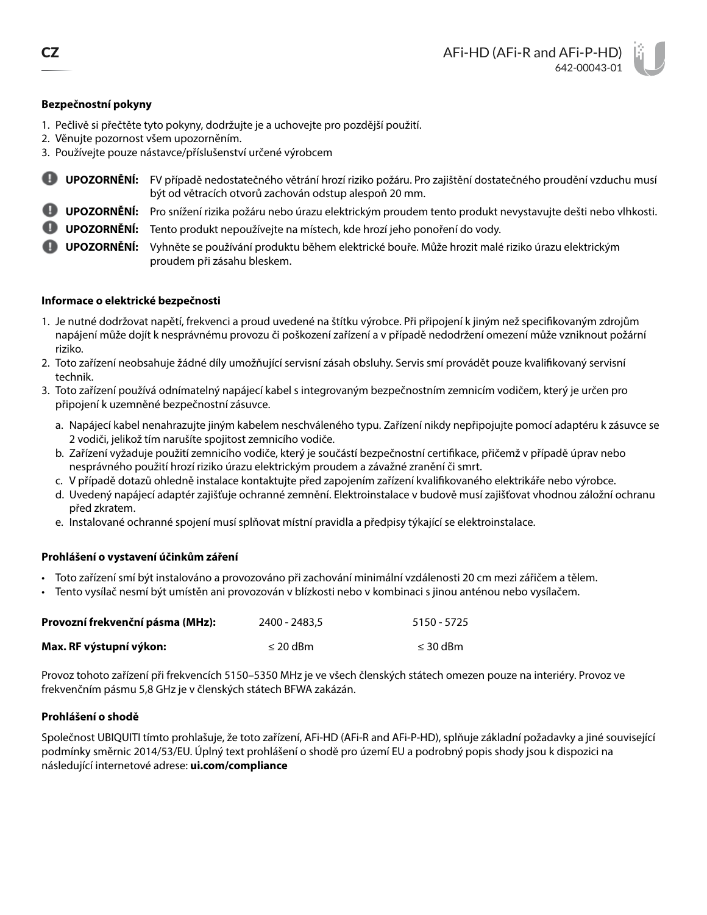# **Bezpečnostní pokyny**

- 1. Pečlivě si přečtěte tyto pokyny, dodržujte je a uchovejte pro pozdější použití.
- 2. Věnujte pozornost všem upozorněním.
- 3. Používejte pouze nástavce/příslušenství určené výrobcem
- o **UPOZORNĚNÍ:** FV případě nedostatečného větrání hrozí riziko požáru. Pro zajištění dostatečného proudění vzduchu musí být od větracích otvorů zachován odstup alespoň 20 mm.
- **UPOZORNĚNÍ:** Pro snížení rizika požáru nebo úrazu elektrickým proudem tento produkt nevystavujte dešti nebo vlhkosti.
- **UPOZORNĚNÍ:** Tento produkt nepoužívejte na místech, kde hrozí jeho ponoření do vody.

**UPOZORNĚNÍ:** Vyhněte se používání produktu během elektrické bouře. Může hrozit malé riziko úrazu elektrickým proudem při zásahu bleskem.

## **Informace o elektrické bezpečnosti**

- 1. Je nutné dodržovat napětí, frekvenci a proud uvedené na štítku výrobce. Při připojení k jiným než specifikovaným zdrojům napájení může dojít k nesprávnému provozu či poškození zařízení a v případě nedodržení omezení může vzniknout požární riziko.
- 2. Toto zařízení neobsahuje žádné díly umožňující servisní zásah obsluhy. Servis smí provádět pouze kvalifikovaný servisní technik.
- 3. Toto zařízení používá odnímatelný napájecí kabel s integrovaným bezpečnostním zemnicím vodičem, který je určen pro připojení k uzemněné bezpečnostní zásuvce.
	- a. Napájecí kabel nenahrazujte jiným kabelem neschváleného typu. Zařízení nikdy nepřipojujte pomocí adaptéru k zásuvce se 2 vodiči, jelikož tím narušíte spojitost zemnicího vodiče.
	- b. Zařízení vyžaduje použití zemnicího vodiče, který je součástí bezpečnostní certifikace, přičemž v případě úprav nebo nesprávného použití hrozí riziko úrazu elektrickým proudem a závažné zranění či smrt.
	- c. V případě dotazů ohledně instalace kontaktujte před zapojením zařízení kvalifikovaného elektrikáře nebo výrobce.
	- d. Uvedený napájecí adaptér zajišťuje ochranné zemnění. Elektroinstalace v budově musí zajišťovat vhodnou záložní ochranu před zkratem.
	- e. Instalované ochranné spojení musí splňovat místní pravidla a předpisy týkající se elektroinstalace.

# **Prohlášení o vystavení účinkům záření**

- Toto zařízení smí být instalováno a provozováno při zachování minimální vzdálenosti 20 cm mezi zářičem a tělem.
- Tento vysílač nesmí být umístěn ani provozován v blízkosti nebo v kombinaci s jinou anténou nebo vysílačem.

| Provozní frekvenční pásma (MHz): | 2400 - 2483.5 | 5150 - 5725   |
|----------------------------------|---------------|---------------|
| Max. RF výstupní výkon:          | $\leq$ 20 dBm | $\leq$ 30 dBm |

Provoz tohoto zařízení při frekvencích 5150–5350 MHz je ve všech členských státech omezen pouze na interiéry. Provoz ve frekvenčním pásmu 5,8 GHz je v členských státech BFWA zakázán.

## **Prohlášení o shodě**

Společnost UBIQUITI tímto prohlašuje, že toto zařízení, AFi-HD (AFi-R and AFi-P-HD), splňuje základní požadavky a jiné související podmínky směrnic 2014/53/EU. Úplný text prohlášení o shodě pro území EU a podrobný popis shody jsou k dispozici na následující internetové adrese: **[ui.com/compliance](http://ui.com/compliance)**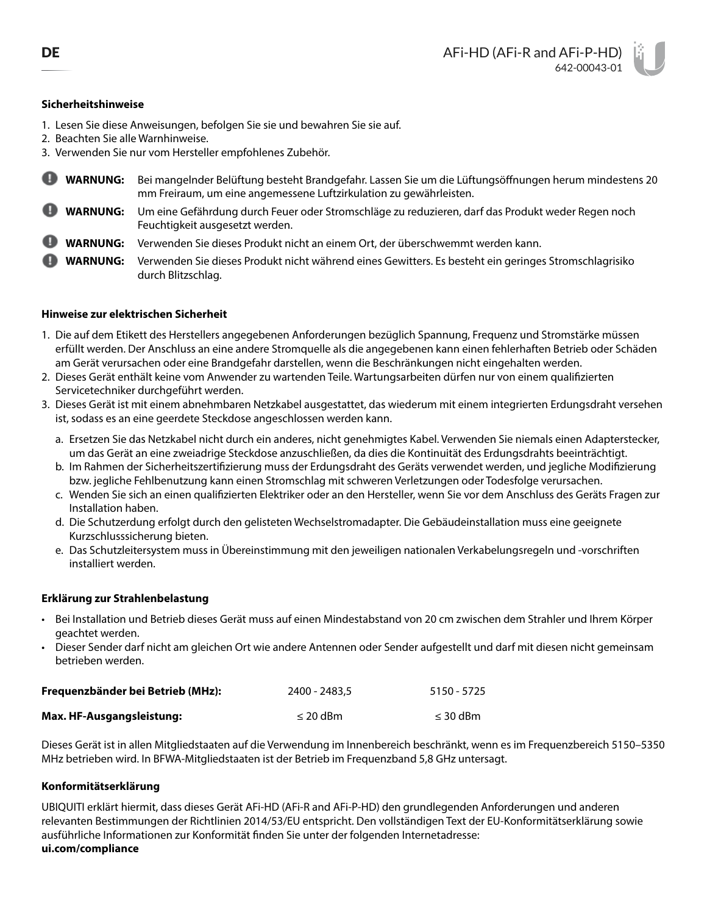# **Sicherheitshinweise**

- 1. Lesen Sie diese Anweisungen, befolgen Sie sie und bewahren Sie sie auf.
- 2. Beachten Sie alle Warnhinweise.
- 3. Verwenden Sie nur vom Hersteller empfohlenes Zubehör.
- **WARNUNG:** Bei mangelnder Belüftung besteht Brandgefahr. Lassen Sie um die Lüftungsöffnungen herum mindestens 20 mm Freiraum, um eine angemessene Luftzirkulation zu gewährleisten.
- **WARNUNG:** Um eine Gefährdung durch Feuer oder Stromschläge zu reduzieren, darf das Produkt weder Regen noch Feuchtigkeit ausgesetzt werden.
- **WARNUNG:** Verwenden Sie dieses Produkt nicht an einem Ort, der überschwemmt werden kann.
- **WARNUNG:** Verwenden Sie dieses Produkt nicht während eines Gewitters. Es besteht ein geringes Stromschlagrisiko durch Blitzschlag.

# **Hinweise zur elektrischen Sicherheit**

- 1. Die auf dem Etikett des Herstellers angegebenen Anforderungen bezüglich Spannung, Frequenz und Stromstärke müssen erfüllt werden. Der Anschluss an eine andere Stromquelle als die angegebenen kann einen fehlerhaften Betrieb oder Schäden am Gerät verursachen oder eine Brandgefahr darstellen, wenn die Beschränkungen nicht eingehalten werden.
- 2. Dieses Gerät enthält keine vom Anwender zu wartenden Teile. Wartungsarbeiten dürfen nur von einem qualifizierten Servicetechniker durchgeführt werden.
- 3. Dieses Gerät ist mit einem abnehmbaren Netzkabel ausgestattet, das wiederum mit einem integrierten Erdungsdraht versehen ist, sodass es an eine geerdete Steckdose angeschlossen werden kann.
	- a. Ersetzen Sie das Netzkabel nicht durch ein anderes, nicht genehmigtes Kabel. Verwenden Sie niemals einen Adapterstecker, um das Gerät an eine zweiadrige Steckdose anzuschließen, da dies die Kontinuität des Erdungsdrahts beeinträchtigt.
	- b. Im Rahmen der Sicherheitszertifizierung muss der Erdungsdraht des Geräts verwendet werden, und jegliche Modifizierung bzw. jegliche Fehlbenutzung kann einen Stromschlag mit schweren Verletzungen oder Todesfolge verursachen.
	- c. Wenden Sie sich an einen qualifizierten Elektriker oder an den Hersteller, wenn Sie vor dem Anschluss des Geräts Fragen zur Installation haben.
	- d. Die Schutzerdung erfolgt durch den gelisteten Wechselstromadapter. Die Gebäudeinstallation muss eine geeignete Kurzschlusssicherung bieten.
	- e. Das Schutzleitersystem muss in Übereinstimmung mit den jeweiligen nationalen Verkabelungsregeln und -vorschriften installiert werden.

## **Erklärung zur Strahlenbelastung**

- Bei Installation und Betrieb dieses Gerät muss auf einen Mindestabstand von 20 cm zwischen dem Strahler und Ihrem Körper geachtet werden.
- Dieser Sender darf nicht am gleichen Ort wie andere Antennen oder Sender aufgestellt und darf mit diesen nicht gemeinsam betrieben werden.

| Frequenzbänder bei Betrieb (MHz): | 2400 - 2483.5 | 5150 - 5725   |
|-----------------------------------|---------------|---------------|
| <b>Max. HF-Ausgangsleistung:</b>  | $\leq$ 20 dBm | $\leq$ 30 dBm |

Dieses Gerät ist in allen Mitgliedstaaten auf die Verwendung im Innenbereich beschränkt, wenn es im Frequenzbereich 5150–5350 MHz betrieben wird. In BFWA-Mitgliedstaaten ist der Betrieb im Frequenzband 5,8 GHz untersagt.

## **Konformitätserklärung**

UBIQUITI erklärt hiermit, dass dieses Gerät AFi-HD (AFi-R and AFi-P-HD) den grundlegenden Anforderungen und anderen relevanten Bestimmungen der Richtlinien 2014/53/EU entspricht. Den vollständigen Text der EU-Konformitätserklärung sowie ausführliche Informationen zur Konformität finden Sie unter der folgenden Internetadresse: **[ui.com/compliance](http://ui.com/compliance)**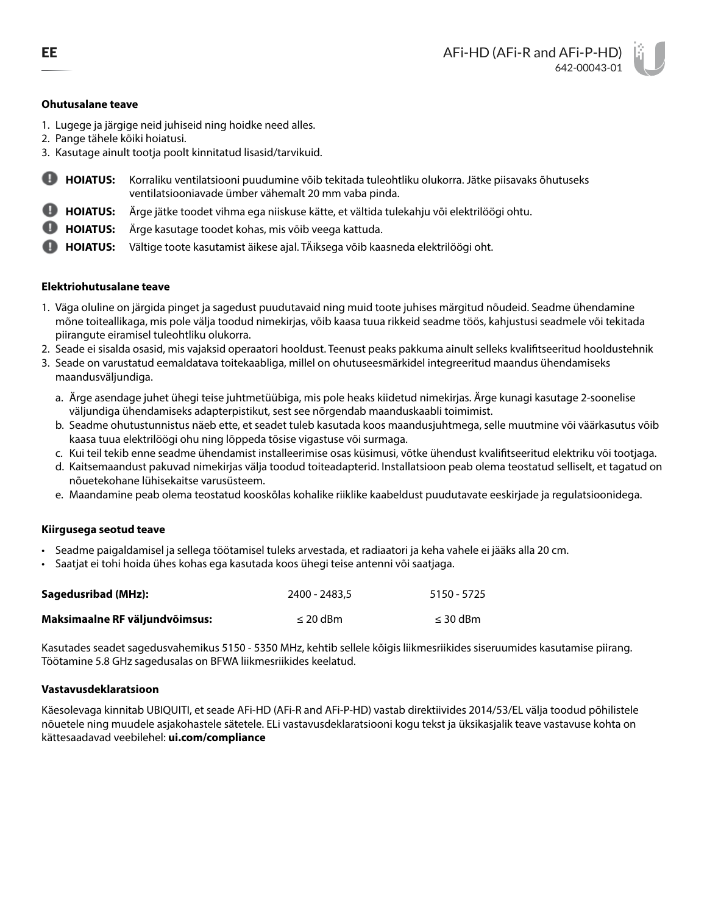#### **Ohutusalane teave**

- 1. Lugege ja järgige neid juhiseid ning hoidke need alles.
- 2. Pange tähele kõiki hoiatusi.
- 3. Kasutage ainult tootja poolt kinnitatud lisasid/tarvikuid.
- **HOIATUS:** Korraliku ventilatsiooni puudumine võib tekitada tuleohtliku olukorra. Jätke piisavaks õhutuseks ventilatsiooniavade ümber vähemalt 20 mm vaba pinda.
- **HOIATUS:** Ärge jätke toodet vihma ega niiskuse kätte, et vältida tulekahju või elektrilöögi ohtu.
- **HOIATUS:** Ärge kasutage toodet kohas, mis võib veega kattuda.
- **HOIATUS:** Vältige toote kasutamist äikese ajal. TÄiksega võib kaasneda elektrilöögi oht.

#### **Elektriohutusalane teave**

- 1. Väga oluline on järgida pinget ja sagedust puudutavaid ning muid toote juhises märgitud nõudeid. Seadme ühendamine mõne toiteallikaga, mis pole välja toodud nimekirjas, võib kaasa tuua rikkeid seadme töös, kahjustusi seadmele või tekitada piirangute eiramisel tuleohtliku olukorra.
- 2. Seade ei sisalda osasid, mis vajaksid operaatori hooldust. Teenust peaks pakkuma ainult selleks kvalifitseeritud hooldustehnik
- 3. Seade on varustatud eemaldatava toitekaabliga, millel on ohutuseesmärkidel integreeritud maandus ühendamiseks maandusväljundiga.
	- a. Ärge asendage juhet ühegi teise juhtmetüübiga, mis pole heaks kiidetud nimekirjas. Ärge kunagi kasutage 2-soonelise väljundiga ühendamiseks adapterpistikut, sest see nõrgendab maanduskaabli toimimist.
	- b. Seadme ohutustunnistus näeb ette, et seadet tuleb kasutada koos maandusjuhtmega, selle muutmine või väärkasutus võib kaasa tuua elektrilöögi ohu ning lõppeda tõsise vigastuse või surmaga.
	- c. Kui teil tekib enne seadme ühendamist installeerimise osas küsimusi, võtke ühendust kvalifitseeritud elektriku või tootjaga.
	- d. Kaitsemaandust pakuvad nimekirjas välja toodud toiteadapterid. Installatsioon peab olema teostatud selliselt, et tagatud on nõuetekohane lühisekaitse varusüsteem.
	- e. Maandamine peab olema teostatud kooskõlas kohalike riiklike kaabeldust puudutavate eeskirjade ja regulatsioonidega.

#### **Kiirgusega seotud teave**

- Seadme paigaldamisel ja sellega töötamisel tuleks arvestada, et radiaatori ja keha vahele ei jääks alla 20 cm.
- Saatjat ei tohi hoida ühes kohas ega kasutada koos ühegi teise antenni või saatjaga.

| <b>Sagedusribad (MHz):</b>     | 2400 - 2483.5 | 5150 - 5725   |
|--------------------------------|---------------|---------------|
| Maksimaalne RF väljundvõimsus: | $\leq$ 20 dBm | $\leq$ 30 dBm |

Kasutades seadet sagedusvahemikus 5150 - 5350 MHz, kehtib sellele kõigis liikmesriikides siseruumides kasutamise piirang. Töötamine 5.8 GHz sagedusalas on BFWA liikmesriikides keelatud.

#### **Vastavusdeklaratsioon**

Käesolevaga kinnitab UBIQUITI, et seade AFi-HD (AFi-R and AFi-P-HD) vastab direktiivides 2014/53/EL välja toodud põhilistele nõuetele ning muudele asjakohastele sätetele. ELi vastavusdeklaratsiooni kogu tekst ja üksikasjalik teave vastavuse kohta on kättesaadavad veebilehel: **[ui.com/compliance](http://ui.com/compliance)**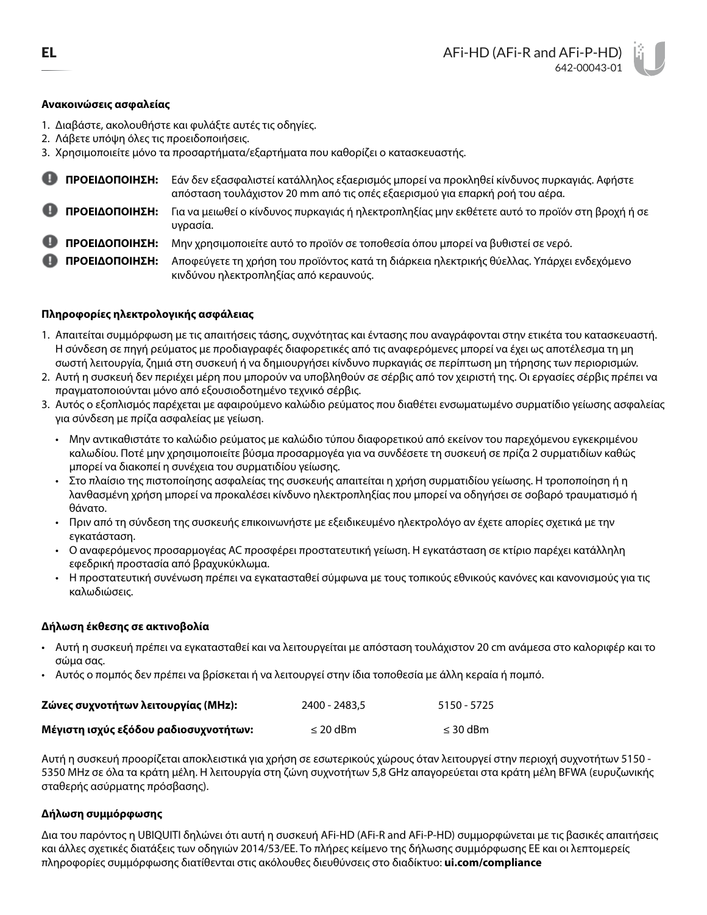## **Ανακοινώσεις ασφαλείας**

- 1. Διαβάστε, ακολουθήστε και φυλάξτε αυτές τις οδηγίες.
- 2. Λάβετε υπόψη όλες τις προειδοποιήσεις.

3. Χρησιμοποιείτε μόνο τα προσαρτήματα/εξαρτήματα που καθορίζει ο κατασκευαστής.

| ΠΡΟΕΙΔΟΠΟΙΗΣΗ: | Εάν δεν εξασφαλιστεί κατάλληλος εξαερισμός μπορεί να προκληθεί κίνδυνος πυρκαγιάς. Αφήστε<br>απόσταση τουλάχιστον 20 mm από τις οπές εξαερισμού για επαρκή ροή του αέρα. |
|----------------|--------------------------------------------------------------------------------------------------------------------------------------------------------------------------|
| ΠΡΟΕΙΔΟΠΟΙΗΣΗ: | Για να μειωθεί ο κίνδυνος πυρκαγιάς ή ηλεκτροπληξίας μην εκθέτετε αυτό το προϊόν στη βροχή ή σε<br>υγρασία.                                                              |
| ΠΡΟΕΙΔΟΠΟΙΗΣΗ: | Μην χρησιμοποιείτε αυτό το προϊόν σε τοποθεσία όπου μπορεί να βυθιστεί σε νερό.                                                                                          |

**ΠΡΟΕΙΔΟΠΟΙΗΣΗ:** Αποφεύγετε τη χρήση του προϊόντος κατά τη διάρκεια ηλεκτρικής θύελλας. Υπάρχει ενδεχόμενο κινδύνου ηλεκτροπληξίας από κεραυνούς.

# **Πληροφορίες ηλεκτρολογικής ασφάλειας**

- 1. Απαιτείται συμμόρφωση με τις απαιτήσεις τάσης, συχνότητας και έντασης που αναγράφονται στην ετικέτα του κατασκευαστή. Η σύνδεση σε πηγή ρεύματος με προδιαγραφές διαφορετικές από τις αναφερόμενες μπορεί να έχει ως αποτέλεσμα τη μη σωστή λειτουργία, ζημιά στη συσκευή ή να δημιουργήσει κίνδυνο πυρκαγιάς σε περίπτωση μη τήρησης των περιορισμών.
- 2. Αυτή η συσκευή δεν περιέχει μέρη που μπορούν να υποβληθούν σε σέρβις από τον χειριστή της. Οι εργασίες σέρβις πρέπει να πραγματοποιούνται μόνο από εξουσιοδοτημένο τεχνικό σέρβις.
- 3. Αυτός ο εξοπλισμός παρέχεται με αφαιρούμενο καλώδιο ρεύματος που διαθέτει ενσωματωμένο συρματίδιο γείωσης ασφαλείας για σύνδεση με πρίζα ασφαλείας με γείωση.
	- Μην αντικαθιστάτε το καλώδιο ρεύματος με καλώδιο τύπου διαφορετικού από εκείνον του παρεχόμενου εγκεκριμένου καλωδίου. Ποτέ μην χρησιμοποιείτε βύσμα προσαρμογέα για να συνδέσετε τη συσκευή σε πρίζα 2 συρματιδίων καθώς μπορεί να διακοπεί η συνέχεια του συρματιδίου γείωσης.
	- Στο πλαίσιο της πιστοποίησης ασφαλείας της συσκευής απαιτείται η χρήση συρματιδίου γείωσης. Η τροποποίηση ή η λανθασμένη χρήση μπορεί να προκαλέσει κίνδυνο ηλεκτροπληξίας που μπορεί να οδηγήσει σε σοβαρό τραυματισμό ή θάνατο.
	- Πριν από τη σύνδεση της συσκευής επικοινωνήστε με εξειδικευμένο ηλεκτρολόγο αν έχετε απορίες σχετικά με την εγκατάσταση.
	- Ο αναφερόμενος προσαρμογέας AC προσφέρει προστατευτική γείωση. Η εγκατάσταση σε κτίριο παρέχει κατάλληλη εφεδρική προστασία από βραχυκύκλωμα.
	- Η προστατευτική συνένωση πρέπει να εγκατασταθεί σύμφωνα με τους τοπικούς εθνικούς κανόνες και κανονισμούς για τις καλωδιώσεις.

## **Δήλωση έκθεσης σε ακτινοβολία**

- Αυτή η συσκευή πρέπει να εγκατασταθεί και να λειτουργείται με απόσταση τουλάχιστον 20 cm ανάμεσα στο καλοριφέρ και το σώμα σας.
- Αυτός ο πομπός δεν πρέπει να βρίσκεται ή να λειτουργεί στην ίδια τοποθεσία με άλλη κεραία ή πομπό.

| Ζώνες συχνοτήτων λειτουργίας (MHz):   | 2400 - 2483.5 | 5150 - 5725   |
|---------------------------------------|---------------|---------------|
| Μέγιστη ισχύς εξόδου ραδιοσυχνοτήτων: | $\leq$ 20 dBm | $\leq$ 30 dBm |

Αυτή η συσκευή προορίζεται αποκλειστικά για χρήση σε εσωτερικούς χώρους όταν λειτουργεί στην περιοχή συχνοτήτων 5150 - 5350 MHz σε όλα τα κράτη μέλη. Η λειτουργία στη ζώνη συχνοτήτων 5,8 GHz απαγορεύεται στα κράτη μέλη BFWA (ευρυζωνικής σταθερής ασύρματης πρόσβασης).

## **Δήλωση συμμόρφωσης**

Δια του παρόντος η UBIQUITI δηλώνει ότι αυτή η συσκευή AFi-HD (AFi-R and AFi-P-HD) συμμορφώνεται με τις βασικές απαιτήσεις και άλλες σχετικές διατάξεις των οδηγιών 2014/53/ΕΕ. Το πλήρες κείμενο της δήλωσης συμμόρφωσης ΕΕ και οι λεπτομερείς πληροφορίες συμμόρφωσης διατίθενται στις ακόλουθες διευθύνσεις στο διαδίκτυο: **[ui.com/compliance](http://ui.com/compliance)**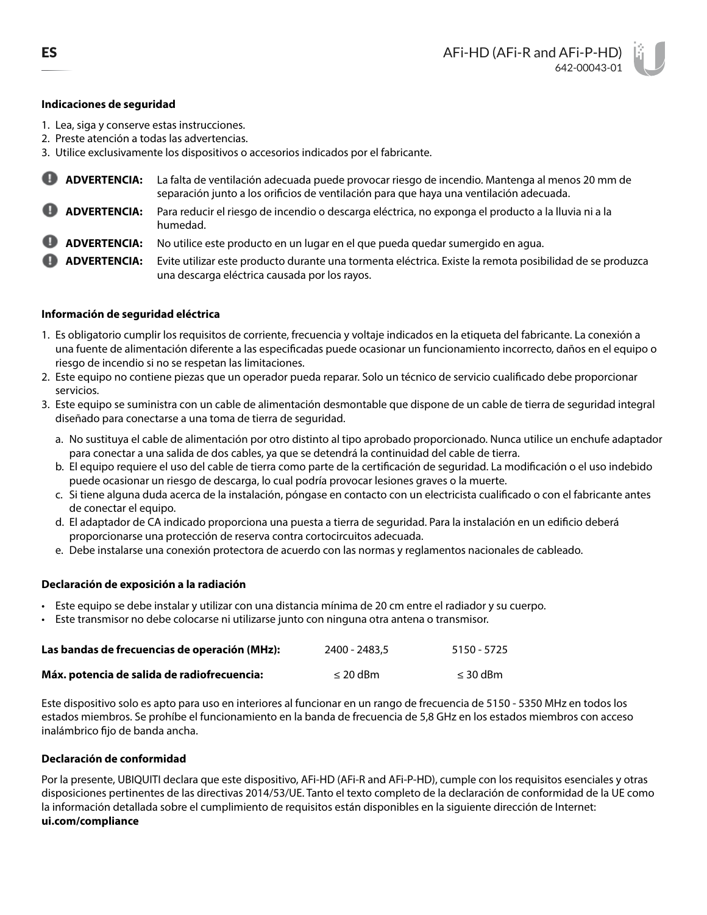## **Indicaciones de seguridad**

- 1. Lea, siga y conserve estas instrucciones.
- 2. Preste atención a todas las advertencias.
- 3. Utilice exclusivamente los dispositivos o accesorios indicados por el fabricante.
- **ADVERTENCIA:** La falta de ventilación adecuada puede provocar riesgo de incendio. Mantenga al menos 20 mm de separación junto a los orificios de ventilación para que haya una ventilación adecuada.
	- **ADVERTENCIA:** Para reducir el riesgo de incendio o descarga eléctrica, no exponga el producto a la lluvia ni a la humedad.
	- **ADVERTENCIA:** No utilice este producto en un lugar en el que pueda quedar sumergido en agua.
- **ADVERTENCIA:** Evite utilizar este producto durante una tormenta eléctrica. Existe la remota posibilidad de se produzca una descarga eléctrica causada por los rayos.

## **Información de seguridad eléctrica**

- 1. Es obligatorio cumplir los requisitos de corriente, frecuencia y voltaje indicados en la etiqueta del fabricante. La conexión a una fuente de alimentación diferente a las especificadas puede ocasionar un funcionamiento incorrecto, daños en el equipo o riesgo de incendio si no se respetan las limitaciones.
- 2. Este equipo no contiene piezas que un operador pueda reparar. Solo un técnico de servicio cualificado debe proporcionar servicios.
- 3. Este equipo se suministra con un cable de alimentación desmontable que dispone de un cable de tierra de seguridad integral diseñado para conectarse a una toma de tierra de seguridad.
	- a. No sustituya el cable de alimentación por otro distinto al tipo aprobado proporcionado. Nunca utilice un enchufe adaptador para conectar a una salida de dos cables, ya que se detendrá la continuidad del cable de tierra.
	- b. El equipo requiere el uso del cable de tierra como parte de la certificación de seguridad. La modificación o el uso indebido puede ocasionar un riesgo de descarga, lo cual podría provocar lesiones graves o la muerte.
	- c. Si tiene alguna duda acerca de la instalación, póngase en contacto con un electricista cualificado o con el fabricante antes de conectar el equipo.
	- d. El adaptador de CA indicado proporciona una puesta a tierra de seguridad. Para la instalación en un edificio deberá proporcionarse una protección de reserva contra cortocircuitos adecuada.
	- e. Debe instalarse una conexión protectora de acuerdo con las normas y reglamentos nacionales de cableado.

## **Declaración de exposición a la radiación**

- Este equipo se debe instalar y utilizar con una distancia mínima de 20 cm entre el radiador y su cuerpo.
- Este transmisor no debe colocarse ni utilizarse junto con ninguna otra antena o transmisor.

| Las bandas de frecuencias de operación (MHz): | 2400 - 2483.5 | 5150 - 5725   |
|-----------------------------------------------|---------------|---------------|
| Máx. potencia de salida de radiofrecuencia:   | $\leq$ 20 dBm | $\leq$ 30 dBm |

Este dispositivo solo es apto para uso en interiores al funcionar en un rango de frecuencia de 5150 - 5350 MHz en todos los estados miembros. Se prohíbe el funcionamiento en la banda de frecuencia de 5,8 GHz en los estados miembros con acceso inalámbrico fijo de banda ancha.

## **Declaración de conformidad**

Por la presente, UBIQUITI declara que este dispositivo, AFi-HD (AFi-R and AFi-P-HD), cumple con los requisitos esenciales y otras disposiciones pertinentes de las directivas 2014/53/UE. Tanto el texto completo de la declaración de conformidad de la UE como la información detallada sobre el cumplimiento de requisitos están disponibles en la siguiente dirección de Internet: **[ui.com/compliance](http://ui.com/compliance)**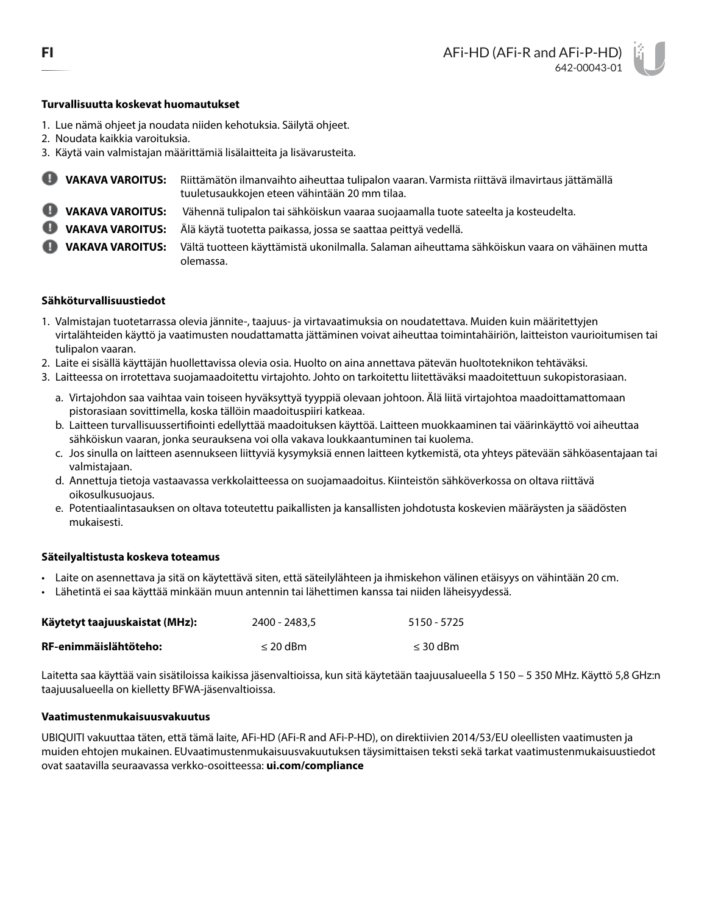### **Turvallisuutta koskevat huomautukset**

- 1. Lue nämä ohjeet ja noudata niiden kehotuksia. Säilytä ohjeet.
- 2. Noudata kaikkia varoituksia.
- 3. Käytä vain valmistajan määrittämiä lisälaitteita ja lisävarusteita.

| <b>WAKAVA VAROITUS:</b>   | Riittämätön ilmanvaihto aiheuttaa tulipalon vaaran. Varmista riittävä ilmavirtaus jättämällä<br>tuuletusaukkojen eteen vähintään 20 mm tilaa. |
|---------------------------|-----------------------------------------------------------------------------------------------------------------------------------------------|
| VAKAVA VAROITUS:          | Vähennä tulipalon tai sähköiskun vaaraa suojaamalla tuote sateelta ja kosteudelta.                                                            |
| <b>U</b> VAKAVA VAROITUS: | Älä käytä tuotetta paikassa, jossa se saattaa peittyä vedellä.                                                                                |
| VAKAVA VAROITUS:          | Vältä tuotteen käyttämistä ukonilmalla. Salaman aiheuttama sähköiskun vaara on vähäinen mutta<br>olemassa.                                    |

### **Sähköturvallisuustiedot**

- 1. Valmistajan tuotetarrassa olevia jännite-, taajuus- ja virtavaatimuksia on noudatettava. Muiden kuin määritettyjen virtalähteiden käyttö ja vaatimusten noudattamatta jättäminen voivat aiheuttaa toimintahäiriön, laitteiston vaurioitumisen tai tulipalon vaaran.
- 2. Laite ei sisällä käyttäjän huollettavissa olevia osia. Huolto on aina annettava pätevän huoltoteknikon tehtäväksi.
- 3. Laitteessa on irrotettava suojamaadoitettu virtajohto. Johto on tarkoitettu liitettäväksi maadoitettuun sukopistorasiaan.
	- a. Virtajohdon saa vaihtaa vain toiseen hyväksyttyä tyyppiä olevaan johtoon. Älä liitä virtajohtoa maadoittamattomaan pistorasiaan sovittimella, koska tällöin maadoituspiiri katkeaa.
	- b. Laitteen turvallisuussertifiointi edellyttää maadoituksen käyttöä. Laitteen muokkaaminen tai väärinkäyttö voi aiheuttaa sähköiskun vaaran, jonka seurauksena voi olla vakava loukkaantuminen tai kuolema.
	- c. Jos sinulla on laitteen asennukseen liittyviä kysymyksiä ennen laitteen kytkemistä, ota yhteys pätevään sähköasentajaan tai valmistajaan.
	- d. Annettuja tietoja vastaavassa verkkolaitteessa on suojamaadoitus. Kiinteistön sähköverkossa on oltava riittävä oikosulkusuojaus.
	- e. Potentiaalintasauksen on oltava toteutettu paikallisten ja kansallisten johdotusta koskevien määräysten ja säädösten mukaisesti.

#### **Säteilyaltistusta koskeva toteamus**

- Laite on asennettava ja sitä on käytettävä siten, että säteilylähteen ja ihmiskehon välinen etäisyys on vähintään 20 cm.
- Lähetintä ei saa käyttää minkään muun antennin tai lähettimen kanssa tai niiden läheisyydessä.

| Käytetyt taajuuskaistat (MHz): | 2400 - 2483.5 | 5150 - 5725   |
|--------------------------------|---------------|---------------|
| RF-enimmäislähtöteho:          | $\leq$ 20 dBm | $\leq$ 30 dBm |

Laitetta saa käyttää vain sisätiloissa kaikissa jäsenvaltioissa, kun sitä käytetään taajuusalueella 5 150 – 5 350 MHz. Käyttö 5,8 GHz:n taajuusalueella on kielletty BFWA-jäsenvaltioissa.

### **Vaatimustenmukaisuusvakuutus**

UBIQUITI vakuuttaa täten, että tämä laite, AFi-HD (AFi-R and AFi-P-HD), on direktiivien 2014/53/EU oleellisten vaatimusten ja muiden ehtojen mukainen. EUvaatimustenmukaisuusvakuutuksen täysimittaisen teksti sekä tarkat vaatimustenmukaisuustiedot ovat saatavilla seuraavassa verkko-osoitteessa: **[ui.com/compliance](http://ui.com/compliance)**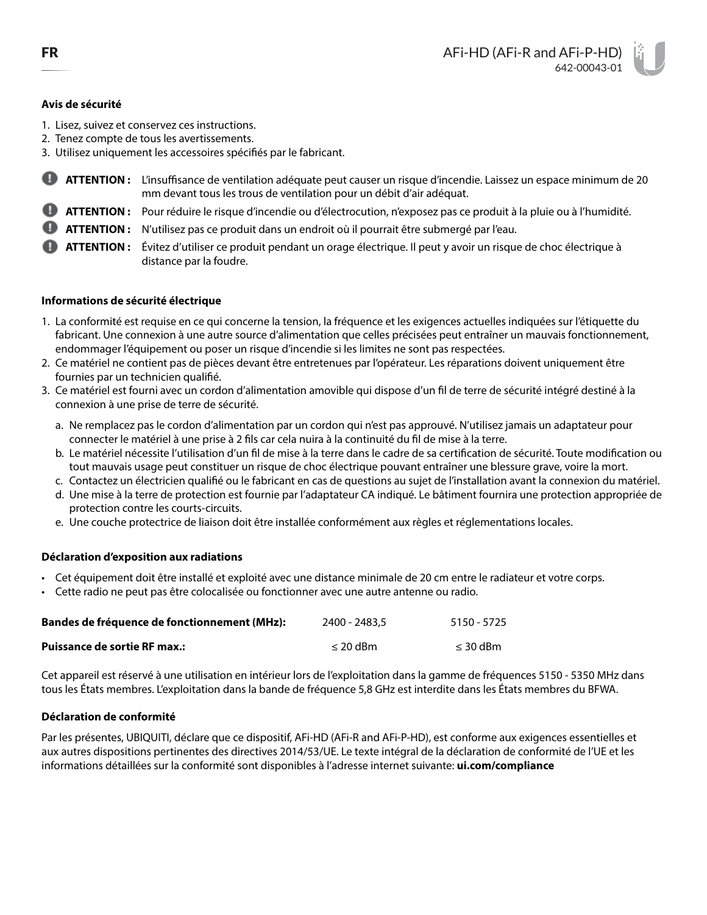# **Avis de sécurité**

- 1. Lisez, suivez et conservez ces instructions.
- 2. Tenez compte de tous les avertissements.
- 3. Utilisez uniquement les accessoires spécifiés par le fabricant.
- o **ATTENTION :** L'insuffisance de ventilation adéquate peut causer un risque d'incendie. Laissez un espace minimum de 20 mm devant tous les trous de ventilation pour un débit d'air adéquat.
- **ATTENTION :** Pour réduire le risque d'incendie ou d'électrocution, n'exposez pas ce produit à la pluie ou à l'humidité.
- **ATTENTION :** N'utilisez pas ce produit dans un endroit où il pourrait être submergé par l'eau.
- **ATTENTION :** Évitez d'utiliser ce produit pendant un orage électrique. Il peut y avoir un risque de choc électrique à distance par la foudre.

### **Informations de sécurité électrique**

- 1. La conformité est requise en ce qui concerne la tension, la fréquence et les exigences actuelles indiquées sur l'étiquette du fabricant. Une connexion à une autre source d'alimentation que celles précisées peut entraîner un mauvais fonctionnement, endommager l'équipement ou poser un risque d'incendie si les limites ne sont pas respectées.
- 2. Ce matériel ne contient pas de pièces devant être entretenues par l'opérateur. Les réparations doivent uniquement être fournies par un technicien qualifié.
- 3. Ce matériel est fourni avec un cordon d'alimentation amovible qui dispose d'un fil de terre de sécurité intégré destiné à la connexion à une prise de terre de sécurité.
	- a. Ne remplacez pas le cordon d'alimentation par un cordon qui n'est pas approuvé. N'utilisez jamais un adaptateur pour connecter le matériel à une prise à 2 fils car cela nuira à la continuité du fil de mise à la terre.
	- b. Le matériel nécessite l'utilisation d'un fil de mise à la terre dans le cadre de sa certification de sécurité. Toute modification ou tout mauvais usage peut constituer un risque de choc électrique pouvant entraîner une blessure grave, voire la mort.
	- c. Contactez un électricien qualifié ou le fabricant en cas de questions au sujet de l'installation avant la connexion du matériel.
	- d. Une mise à la terre de protection est fournie par l'adaptateur CA indiqué. Le bâtiment fournira une protection appropriée de protection contre les courts-circuits.
	- e. Une couche protectrice de liaison doit être installée conformément aux règles et réglementations locales.

## **Déclaration d'exposition aux radiations**

- Cet équipement doit être installé et exploité avec une distance minimale de 20 cm entre le radiateur et votre corps.
- Cette radio ne peut pas être colocalisée ou fonctionner avec une autre antenne ou radio.

| <b>Bandes de fréquence de fonctionnement (MHz):</b> | 2400 - 2483.5 | 5150 - 5725   |
|-----------------------------------------------------|---------------|---------------|
| <b>Puissance de sortie RF max.:</b>                 | $\leq$ 20 dBm | $\leq$ 30 dBm |

Cet appareil est réservé à une utilisation en intérieur lors de l'exploitation dans la gamme de fréquences 5150 - 5350 MHz dans tous les États membres. L'exploitation dans la bande de fréquence 5,8 GHz est interdite dans les États membres du BFWA.

## **Déclaration de conformité**

Par les présentes, UBIQUITI, déclare que ce dispositif, AFi-HD (AFi-R and AFi-P-HD), est conforme aux exigences essentielles et aux autres dispositions pertinentes des directives 2014/53/UE. Le texte intégral de la déclaration de conformité de l'UE et les informations détaillées sur la conformité sont disponibles à l'adresse internet suivante: **[ui.com/compliance](http://ui.com/compliance)**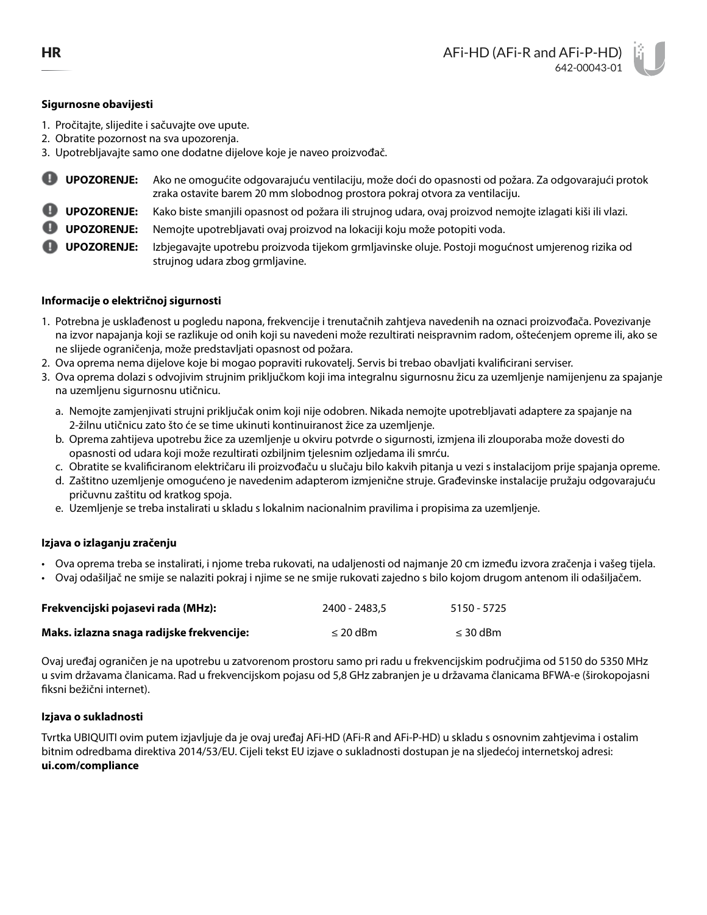# **Sigurnosne obavijesti**

- 1. Pročitajte, slijedite i sačuvajte ove upute.
- 2. Obratite pozornost na sva upozorenja.
- 3. Upotrebljavajte samo one dodatne dijelove koje je naveo proizvođač.
- **UPOZORENJE:** Ako ne omogućite odgovarajuću ventilaciju, može doći do opasnosti od požara. Za odgovarajući protok zraka ostavite barem 20 mm slobodnog prostora pokraj otvora za ventilaciju.
- **UPOZORENJE:** Kako biste smanjili opasnost od požara ili strujnog udara, ovaj proizvod nemojte izlagati kiši ili vlazi.
- **UPOZORENJE:** Nemojte upotrebljavati ovaj proizvod na lokaciji koju može potopiti voda.

**UPOZORENJE:** Izbjegavajte upotrebu proizvoda tijekom grmljavinske oluje. Postoji mogućnost umjerenog rizika od strujnog udara zbog grmljavine.

# **Informacije o električnoj sigurnosti**

- 1. Potrebna je usklađenost u pogledu napona, frekvencije i trenutačnih zahtjeva navedenih na oznaci proizvođača. Povezivanje na izvor napajanja koji se razlikuje od onih koji su navedeni može rezultirati neispravnim radom, oštećenjem opreme ili, ako se ne slijede ograničenja, može predstavljati opasnost od požara.
- 2. Ova oprema nema dijelove koje bi mogao popraviti rukovatelj. Servis bi trebao obavljati kvalificirani serviser.
- 3. Ova oprema dolazi s odvojivim strujnim priključkom koji ima integralnu sigurnosnu žicu za uzemljenje namijenjenu za spajanje na uzemljenu sigurnosnu utičnicu.
	- a. Nemojte zamjenjivati strujni priključak onim koji nije odobren. Nikada nemojte upotrebljavati adaptere za spajanje na 2-žilnu utičnicu zato što će se time ukinuti kontinuiranost žice za uzemljenje.
	- b. Oprema zahtijeva upotrebu žice za uzemljenje u okviru potvrde o sigurnosti, izmjena ili zlouporaba može dovesti do opasnosti od udara koji može rezultirati ozbiljnim tjelesnim ozljedama ili smrću.
	- c. Obratite se kvalificiranom električaru ili proizvođaču u slučaju bilo kakvih pitanja u vezi s instalacijom prije spajanja opreme.
	- d. Zaštitno uzemljenje omogućeno je navedenim adapterom izmjenične struje. Građevinske instalacije pružaju odgovarajuću pričuvnu zaštitu od kratkog spoja.
	- e. Uzemljenje se treba instalirati u skladu s lokalnim nacionalnim pravilima i propisima za uzemljenje.

## **Izjava o izlaganju zračenju**

- Ova oprema treba se instalirati, i njome treba rukovati, na udaljenosti od najmanje 20 cm između izvora zračenja i vašeg tijela.
- Ovaj odašiljač ne smije se nalaziti pokraj i njime se ne smije rukovati zajedno s bilo kojom drugom antenom ili odašiljačem.

| Frekvencijski pojasevi rada (MHz):        | 2400 - 2483.5 | 5150 - 5725   |
|-------------------------------------------|---------------|---------------|
| Maks. izlazna snaga radijske frekvencije: | $\leq$ 20 dBm | $\leq$ 30 dBm |

Ovaj uređaj ograničen je na upotrebu u zatvorenom prostoru samo pri radu u frekvencijskim područjima od 5150 do 5350 MHz u svim državama članicama. Rad u frekvencijskom pojasu od 5,8 GHz zabranjen je u državama članicama BFWA-e (širokopojasni fiksni bežični internet).

# **Izjava o sukladnosti**

Tvrtka UBIQUITI ovim putem izjavljuje da je ovaj uređaj AFi-HD (AFi-R and AFi-P-HD) u skladu s osnovnim zahtjevima i ostalim bitnim odredbama direktiva 2014/53/EU. Cijeli tekst EU izjave o sukladnosti dostupan je na sljedećoj internetskoj adresi: **[ui.com/compliance](http://ui.com/compliance)**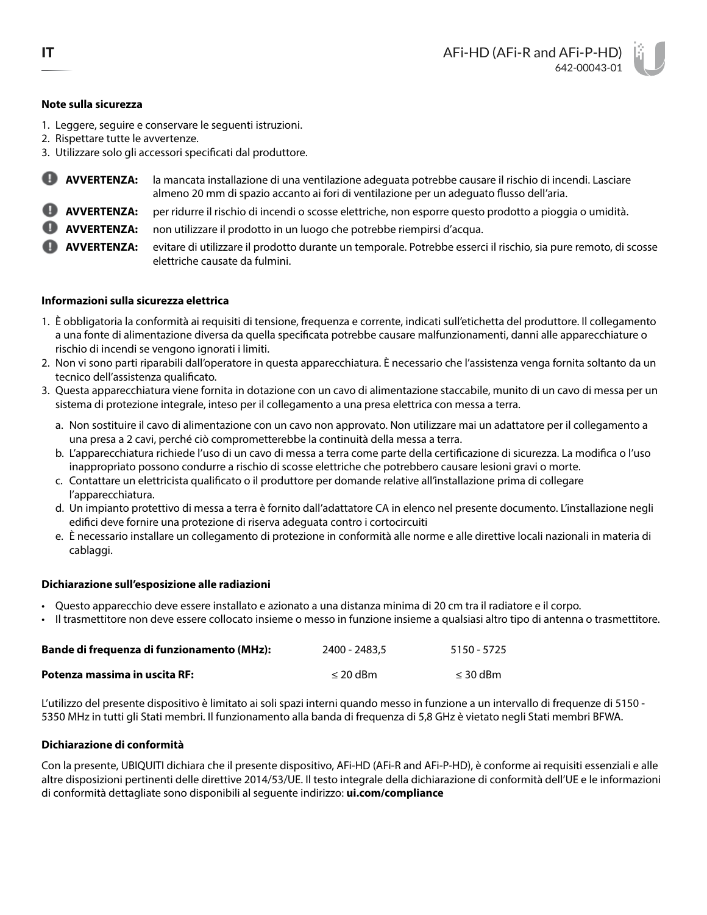## **Note sulla sicurezza**

- 1. Leggere, seguire e conservare le seguenti istruzioni.
- 2. Rispettare tutte le avvertenze.
- 3. Utilizzare solo gli accessori specificati dal produttore.
- **AVVERTENZA:** la mancata installazione di una ventilazione adeguata potrebbe causare il rischio di incendi. Lasciare almeno 20 mm di spazio accanto ai fori di ventilazione per un adeguato flusso dell'aria.
- **AVVERTENZA:** per ridurre il rischio di incendi o scosse elettriche, non esporre questo prodotto a pioggia o umidità.
- **AVVERTENZA:** non utilizzare il prodotto in un luogo che potrebbe riempirsi d'acqua.

**AVVERTENZA:** evitare di utilizzare il prodotto durante un temporale. Potrebbe esserci il rischio, sia pure remoto, di scosse elettriche causate da fulmini.

## **Informazioni sulla sicurezza elettrica**

- 1. È obbligatoria la conformità ai requisiti di tensione, frequenza e corrente, indicati sull'etichetta del produttore. Il collegamento a una fonte di alimentazione diversa da quella specificata potrebbe causare malfunzionamenti, danni alle apparecchiature o rischio di incendi se vengono ignorati i limiti.
- 2. Non vi sono parti riparabili dall'operatore in questa apparecchiatura. È necessario che l'assistenza venga fornita soltanto da un tecnico dell'assistenza qualificato.
- 3. Questa apparecchiatura viene fornita in dotazione con un cavo di alimentazione staccabile, munito di un cavo di messa per un sistema di protezione integrale, inteso per il collegamento a una presa elettrica con messa a terra.
	- a. Non sostituire il cavo di alimentazione con un cavo non approvato. Non utilizzare mai un adattatore per il collegamento a una presa a 2 cavi, perché ciò comprometterebbe la continuità della messa a terra.
	- b. L'apparecchiatura richiede l'uso di un cavo di messa a terra come parte della certificazione di sicurezza. La modifica o l'uso inappropriato possono condurre a rischio di scosse elettriche che potrebbero causare lesioni gravi o morte.
	- c. Contattare un elettricista qualificato o il produttore per domande relative all'installazione prima di collegare l'apparecchiatura.
	- d. Un impianto protettivo di messa a terra è fornito dall'adattatore CA in elenco nel presente documento. L'installazione negli edifici deve fornire una protezione di riserva adeguata contro i cortocircuiti
	- e. È necessario installare un collegamento di protezione in conformità alle norme e alle direttive locali nazionali in materia di cablaggi.

## **Dichiarazione sull'esposizione alle radiazioni**

- Questo apparecchio deve essere installato e azionato a una distanza minima di 20 cm tra il radiatore e il corpo.
- Il trasmettitore non deve essere collocato insieme o messo in funzione insieme a qualsiasi altro tipo di antenna o trasmettitore.

| Bande di frequenza di funzionamento (MHz): | 2400 - 2483.5 | 5150 - 5725   |
|--------------------------------------------|---------------|---------------|
| Potenza massima in uscita RF:              | $\leq$ 20 dBm | $\leq$ 30 dBm |

L'utilizzo del presente dispositivo è limitato ai soli spazi interni quando messo in funzione a un intervallo di frequenze di 5150 - 5350 MHz in tutti gli Stati membri. Il funzionamento alla banda di frequenza di 5,8 GHz è vietato negli Stati membri BFWA.

## **Dichiarazione di conformità**

Con la presente, UBIQUITI dichiara che il presente dispositivo, AFi-HD (AFi-R and AFi-P-HD), è conforme ai requisiti essenziali e alle altre disposizioni pertinenti delle direttive 2014/53/UE. Il testo integrale della dichiarazione di conformità dell'UE e le informazioni di conformità dettagliate sono disponibili al seguente indirizzo: **[ui.com/compliance](http://ui.com/compliance)**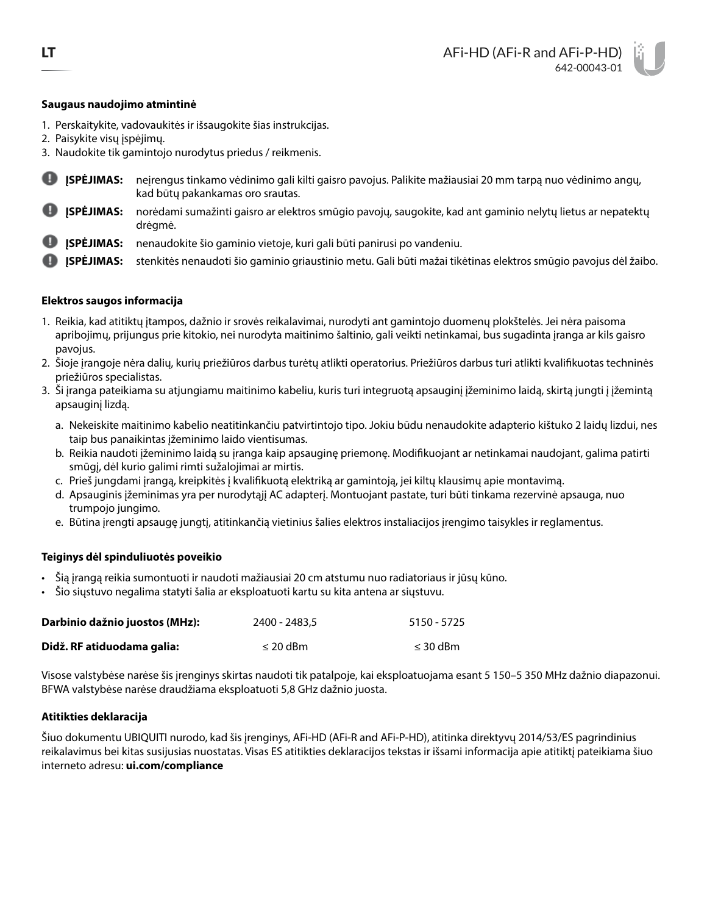## **Saugaus naudojimo atmintinė**

- 1. Perskaitykite, vadovaukitės ir išsaugokite šias instrukcijas.
- 2. Paisykite visų įspėjimų.
- 3. Naudokite tik gamintojo nurodytus priedus / reikmenis.
- o **ĮSPĖJIMAS:** neįrengus tinkamo vėdinimo gali kilti gaisro pavojus. Palikite mažiausiai 20 mm tarpą nuo vėdinimo angų, kad būtų pakankamas oro srautas.
- **ĮSPĖJIMAS:** norėdami sumažinti gaisro ar elektros smūgio pavojų, saugokite, kad ant gaminio nelytų lietus ar nepatektų drėgmė.
- **ĮSPĖJIMAS:** nenaudokite šio gaminio vietoje, kuri gali būti panirusi po vandeniu.
- **ĮSPĖJIMAS:** stenkitės nenaudoti šio gaminio griaustinio metu. Gali būti mažai tikėtinas elektros smūgio pavojus dėl žaibo.

### **Elektros saugos informacija**

- 1. Reikia, kad atitiktų įtampos, dažnio ir srovės reikalavimai, nurodyti ant gamintojo duomenų plokštelės. Jei nėra paisoma apribojimų, prijungus prie kitokio, nei nurodyta maitinimo šaltinio, gali veikti netinkamai, bus sugadinta įranga ar kils gaisro pavojus.
- 2. Šioje įrangoje nėra dalių, kurių priežiūros darbus turėtų atlikti operatorius. Priežiūros darbus turi atlikti kvalifikuotas techninės priežiūros specialistas.
- 3. Ši įranga pateikiama su atjungiamu maitinimo kabeliu, kuris turi integruotą apsauginį įžeminimo laidą, skirtą jungti į įžemintą apsauginį lizdą.
	- a. Nekeiskite maitinimo kabelio neatitinkančiu patvirtintojo tipo. Jokiu būdu nenaudokite adapterio kištuko 2 laidų lizdui, nes taip bus panaikintas įžeminimo laido vientisumas.
	- b. Reikia naudoti įžeminimo laidą su įranga kaip apsauginę priemonę. Modifikuojant ar netinkamai naudojant, galima patirti smūgį, dėl kurio galimi rimti sužalojimai ar mirtis.
	- c. Prieš jungdami įrangą, kreipkitės į kvalifikuotą elektriką ar gamintoją, jei kiltų klausimų apie montavimą.
	- d. Apsauginis įžeminimas yra per nurodytąjį AC adapterį. Montuojant pastate, turi būti tinkama rezervinė apsauga, nuo trumpojo jungimo.
	- e. Būtina įrengti apsaugę jungtį, atitinkančią vietinius šalies elektros instaliacijos įrengimo taisykles ir reglamentus.

#### **Teiginys dėl spinduliuotės poveikio**

- Šią įrangą reikia sumontuoti ir naudoti mažiausiai 20 cm atstumu nuo radiatoriaus ir jūsų kūno.
- Šio siųstuvo negalima statyti šalia ar eksploatuoti kartu su kita antena ar siųstuvu.

| Darbinio dažnio juostos (MHz): | 2400 - 2483.5 | 5150 - 5725   |
|--------------------------------|---------------|---------------|
| Didž. RF atiduodama galia:     | $\leq$ 20 dBm | $\leq$ 30 dBm |

Visose valstybėse narėse šis įrenginys skirtas naudoti tik patalpoje, kai eksploatuojama esant 5 150–5 350 MHz dažnio diapazonui. BFWA valstybėse narėse draudžiama eksploatuoti 5,8 GHz dažnio juosta.

#### **Atitikties deklaracija**

Šiuo dokumentu UBIQUITI nurodo, kad šis įrenginys, AFi-HD (AFi-R and AFi-P-HD), atitinka direktyvų 2014/53/ES pagrindinius reikalavimus bei kitas susijusias nuostatas. Visas ES atitikties deklaracijos tekstas ir išsami informacija apie atitiktį pateikiama šiuo interneto adresu: **[ui.com/compliance](http://ui.com/compliance)**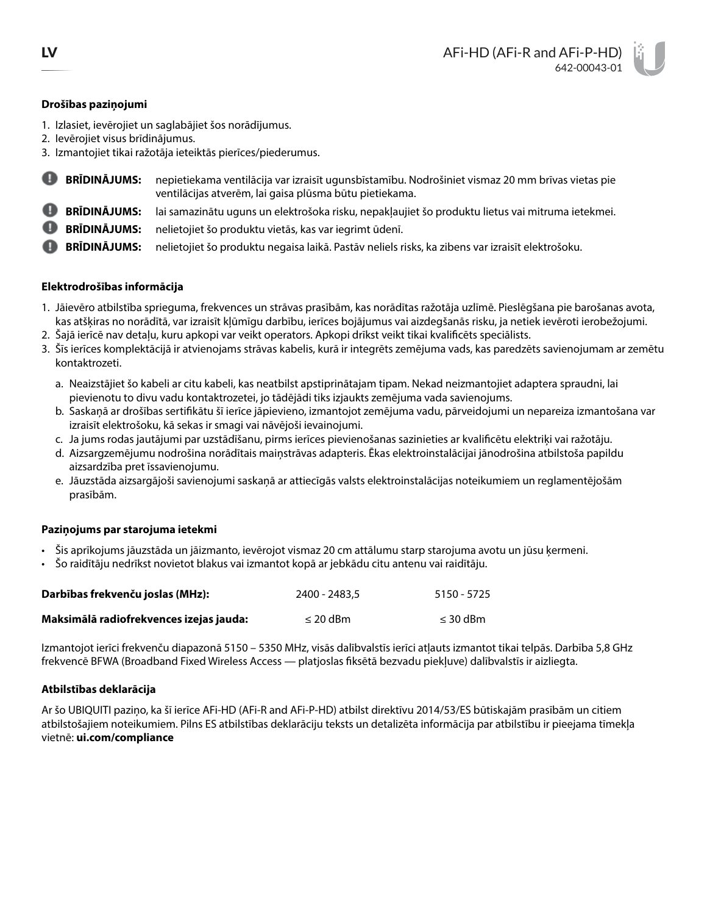## **Drošības paziņojumi**

- 1. Izlasiet, ievērojiet un saglabājiet šos norādījumus.
- 2. Ievērojiet visus brīdinājumus.
- 3. Izmantojiet tikai ražotāja ieteiktās pierīces/piederumus.
- o **BRĪDINĀJUMS:** nepietiekama ventilācija var izraisīt ugunsbīstamību. Nodrošiniet vismaz 20 mm brīvas vietas pie ventilācijas atverēm, lai gaisa plūsma būtu pietiekama.
- **BRĪDINĀJUMS:** lai samazinātu uguns un elektrošoka risku, nepakļaujiet šo produktu lietus vai mitruma ietekmei.
- **BRĪDINĀJUMS:** nelietojiet šo produktu vietās, kas var iegrimt ūdenī.
- **BRĪDINĀJUMS:** nelietojiet šo produktu negaisa laikā. Pastāv neliels risks, ka zibens var izraisīt elektrošoku.

# **Elektrodrošības informācija**

- 1. Jāievēro atbilstība sprieguma, frekvences un strāvas prasībām, kas norādītas ražotāja uzlīmē. Pieslēgšana pie barošanas avota, kas atšķiras no norādītā, var izraisīt kļūmīgu darbību, ierīces bojājumus vai aizdegšanās risku, ja netiek ievēroti ierobežojumi.
- 2. Šajā ierīcē nav detaļu, kuru apkopi var veikt operators. Apkopi drīkst veikt tikai kvalificēts speciālists.
- 3. Šīs ierīces komplektācijā ir atvienojams strāvas kabelis, kurā ir integrēts zemējuma vads, kas paredzēts savienojumam ar zemētu kontaktrozeti.
	- a. Neaizstājiet šo kabeli ar citu kabeli, kas neatbilst apstiprinātajam tipam. Nekad neizmantojiet adaptera spraudni, lai pievienotu to divu vadu kontaktrozetei, jo tādējādi tiks izjaukts zemējuma vada savienojums.
	- b. Saskaņā ar drošības sertifikātu šī ierīce jāpievieno, izmantojot zemējuma vadu, pārveidojumi un nepareiza izmantošana var izraisīt elektrošoku, kā sekas ir smagi vai nāvējoši ievainojumi.
	- c. Ja jums rodas jautājumi par uzstādīšanu, pirms ierīces pievienošanas sazinieties ar kvalificētu elektriķi vai ražotāju.
	- d. Aizsargzemējumu nodrošina norādītais maiņstrāvas adapteris. Ēkas elektroinstalācijai jānodrošina atbilstoša papildu aizsardzība pret īssavienojumu.
	- e. Jāuzstāda aizsargājoši savienojumi saskaņā ar attiecīgās valsts elektroinstalācijas noteikumiem un reglamentējošām prasībām.

## **Paziņojums par starojuma ietekmi**

- Šis aprīkojums jāuzstāda un jāizmanto, ievērojot vismaz 20 cm attālumu starp starojuma avotu un jūsu ķermeni.
- Šo raidītāju nedrīkst novietot blakus vai izmantot kopā ar jebkādu citu antenu vai raidītāju.

| Darbības frekvenču joslas (MHz):        | 2400 - 2483.5 | 5150 - 5725   |
|-----------------------------------------|---------------|---------------|
| Maksimālā radiofrekvences izejas jauda: | $\leq$ 20 dBm | $\leq$ 30 dBm |

Izmantojot ierīci frekvenču diapazonā 5150 – 5350 MHz, visās dalībvalstīs ierīci atļauts izmantot tikai telpās. Darbība 5,8 GHz frekvencē BFWA (Broadband Fixed Wireless Access — platjoslas fiksētā bezvadu piekļuve) dalībvalstīs ir aizliegta.

# **Atbilstības deklarācija**

Ar šo UBIQUITI paziņo, ka šī ierīce AFi-HD (AFi-R and AFi-P-HD) atbilst direktīvu 2014/53/ES būtiskajām prasībām un citiem atbilstošajiem noteikumiem. Pilns ES atbilstības deklarāciju teksts un detalizēta informācija par atbilstību ir pieejama tīmekļa vietnē: **[ui.com/compliance](http://ui.com/compliance)**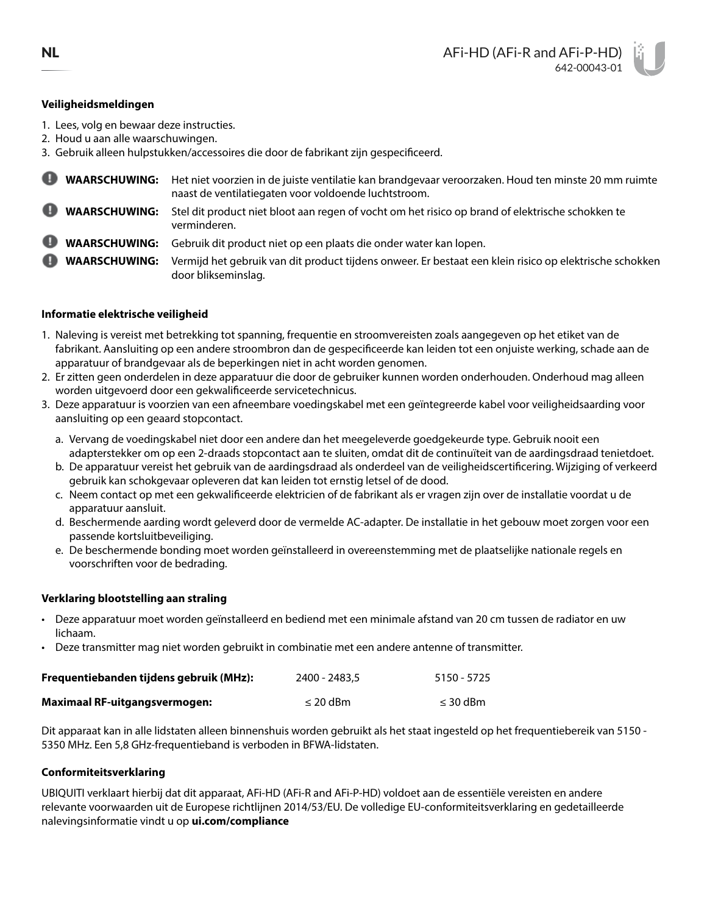# **Veiligheidsmeldingen**

- 1. Lees, volg en bewaar deze instructies.
- 2. Houd u aan alle waarschuwingen.

3. Gebruik alleen hulpstukken/accessoires die door de fabrikant zijn gespecificeerd.

- **WAARSCHUWING:** Het niet voorzien in de juiste ventilatie kan brandgevaar veroorzaken. Houd ten minste 20 mm ruimte naast de ventilatiegaten voor voldoende luchtstroom. **WAARSCHUWING:** Stel dit product niet bloot aan regen of vocht om het risico op brand of elektrische schokken te
	- verminderen.

**WAARSCHUWING:** Gebruik dit product niet op een plaats die onder water kan lopen.

**WAARSCHUWING:** Vermijd het gebruik van dit product tijdens onweer. Er bestaat een klein risico op elektrische schokken door blikseminslag.

# **Informatie elektrische veiligheid**

- 1. Naleving is vereist met betrekking tot spanning, frequentie en stroomvereisten zoals aangegeven op het etiket van de fabrikant. Aansluiting op een andere stroombron dan de gespecificeerde kan leiden tot een onjuiste werking, schade aan de apparatuur of brandgevaar als de beperkingen niet in acht worden genomen.
- 2. Er zitten geen onderdelen in deze apparatuur die door de gebruiker kunnen worden onderhouden. Onderhoud mag alleen worden uitgevoerd door een gekwalificeerde servicetechnicus.
- 3. Deze apparatuur is voorzien van een afneembare voedingskabel met een geïntegreerde kabel voor veiligheidsaarding voor aansluiting op een geaard stopcontact.
	- a. Vervang de voedingskabel niet door een andere dan het meegeleverde goedgekeurde type. Gebruik nooit een adapterstekker om op een 2-draads stopcontact aan te sluiten, omdat dit de continuïteit van de aardingsdraad tenietdoet.
	- b. De apparatuur vereist het gebruik van de aardingsdraad als onderdeel van de veiligheidscertificering. Wijziging of verkeerd gebruik kan schokgevaar opleveren dat kan leiden tot ernstig letsel of de dood.
	- c. Neem contact op met een gekwalificeerde elektricien of de fabrikant als er vragen zijn over de installatie voordat u de apparatuur aansluit.
	- d. Beschermende aarding wordt geleverd door de vermelde AC-adapter. De installatie in het gebouw moet zorgen voor een passende kortsluitbeveiliging.
	- e. De beschermende bonding moet worden geïnstalleerd in overeenstemming met de plaatselijke nationale regels en voorschriften voor de bedrading.

## **Verklaring blootstelling aan straling**

- Deze apparatuur moet worden geïnstalleerd en bediend met een minimale afstand van 20 cm tussen de radiator en uw lichaam.
- Deze transmitter mag niet worden gebruikt in combinatie met een andere antenne of transmitter.

| Frequentiebanden tijdens gebruik (MHz): | 2400 - 2483.5 | 5150 - 5725   |
|-----------------------------------------|---------------|---------------|
| <b>Maximaal RF-uitgangsvermogen:</b>    | $\leq$ 20 dBm | $\leq$ 30 dBm |

Dit apparaat kan in alle lidstaten alleen binnenshuis worden gebruikt als het staat ingesteld op het frequentiebereik van 5150 - 5350 MHz. Een 5,8 GHz-frequentieband is verboden in BFWA-lidstaten.

## **Conformiteitsverklaring**

UBIQUITI verklaart hierbij dat dit apparaat, AFi-HD (AFi-R and AFi-P-HD) voldoet aan de essentiële vereisten en andere relevante voorwaarden uit de Europese richtlijnen 2014/53/EU. De volledige EU-conformiteitsverklaring en gedetailleerde nalevingsinformatie vindt u op **[ui.com/compliance](http://ui.com/compliance)**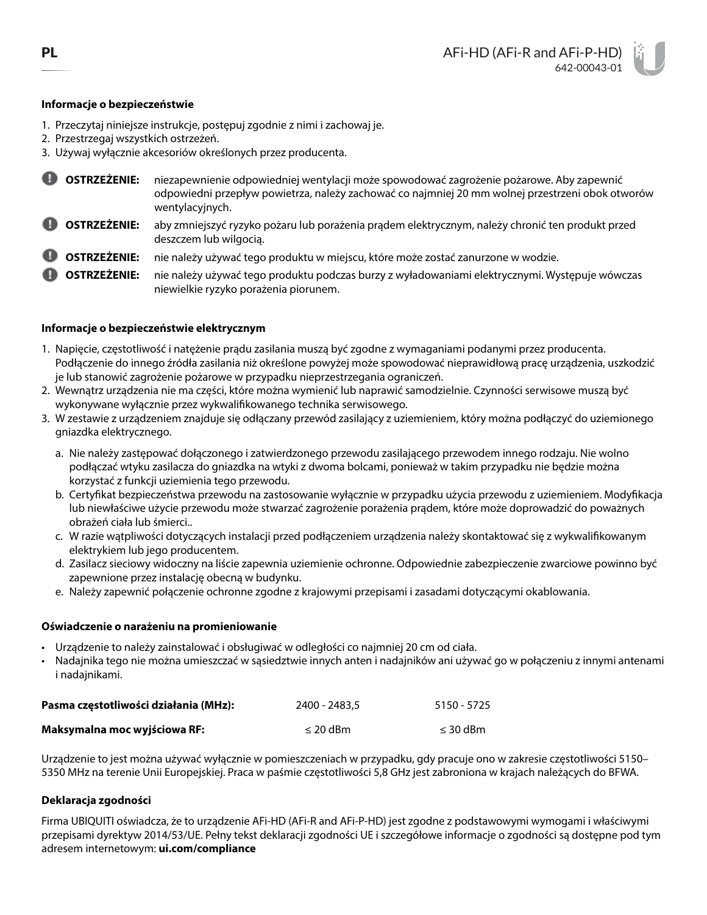# **Informacje o bezpieczeństwie**

- 1. Przeczytaj niniejsze instrukcje, postępuj zgodnie z nimi i zachowaj je.
- 2. Przestrzegaj wszystkich ostrzeżeń.
- 3. Używaj wyłącznie akcesoriów określonych przez producenta.
- **OSTRZEŻENIE:** niezapewnienie odpowiedniej wentylacji może spowodować zagrożenie pożarowe. Aby zapewnić odpowiedni przepływ powietrza, należy zachować co najmniej 20 mm wolnej przestrzeni obok otworów wentylacyjnych.
- **OSTRZEŻENIE:** aby zmniejszyć ryzyko pożaru lub porażenia prądem elektrycznym, należy chronić ten produkt przed deszczem lub wilgocią.
- **OSTRZEŻENIE:** nie należy używać tego produktu w miejscu, które może zostać zanurzone w wodzie.
- **OSTRZEŻENIE:** nie należy używać tego produktu podczas burzy z wyładowaniami elektrycznymi. Występuje wówczas niewielkie ryzyko porażenia piorunem.

# **Informacje o bezpieczeństwie elektrycznym**

- 1. Napięcie, częstotliwość i natężenie prądu zasilania muszą być zgodne z wymaganiami podanymi przez producenta. Podłączenie do innego źródła zasilania niż określone powyżej może spowodować nieprawidłową pracę urządzenia, uszkodzić je lub stanowić zagrożenie pożarowe w przypadku nieprzestrzegania ograniczeń.
- 2. Wewnątrz urządzenia nie ma części, które można wymienić lub naprawić samodzielnie. Czynności serwisowe muszą być wykonywane wyłącznie przez wykwalifikowanego technika serwisowego.
- 3. W zestawie z urządzeniem znajduje się odłączany przewód zasilający z uziemieniem, który można podłączyć do uziemionego gniazdka elektrycznego.
	- a. Nie należy zastępować dołączonego i zatwierdzonego przewodu zasilającego przewodem innego rodzaju. Nie wolno podłączać wtyku zasilacza do gniazdka na wtyki z dwoma bolcami, ponieważ w takim przypadku nie będzie można korzystać z funkcji uziemienia tego przewodu.
	- b. Certyfikat bezpieczeństwa przewodu na zastosowanie wyłącznie w przypadku użycia przewodu z uziemieniem. Modyfikacja lub niewłaściwe użycie przewodu może stwarzać zagrożenie porażenia prądem, które może doprowadzić do poważnych obrażeń ciała lub śmierci..
	- c. W razie wątpliwości dotyczących instalacji przed podłączeniem urządzenia należy skontaktować się z wykwalifikowanym elektrykiem lub jego producentem.
	- d. Zasilacz sieciowy widoczny na liście zapewnia uziemienie ochronne. Odpowiednie zabezpieczenie zwarciowe powinno być zapewnione przez instalację obecną w budynku.
	- e. Należy zapewnić połączenie ochronne zgodne z krajowymi przepisami i zasadami dotyczącymi okablowania.

## **Oświadczenie o narażeniu na promieniowanie**

- Urządzenie to należy zainstalować i obsługiwać w odległości co najmniej 20 cm od ciała.
- Nadajnika tego nie można umieszczać w sąsiedztwie innych anten i nadajników ani używać go w połączeniu z innymi antenami i nadajnikami.

| Pasma częstotliwości działania (MHz): | 2400 - 2483.5 | 5150 - 5725   |
|---------------------------------------|---------------|---------------|
| Maksymalna moc wyjściowa RF:          | $\leq$ 20 dBm | $\leq$ 30 dBm |

Urządzenie to jest można używać wyłącznie w pomieszczeniach w przypadku, gdy pracuje ono w zakresie częstotliwości 5150– 5350 MHz na terenie Unii Europejskiej. Praca w paśmie częstotliwości 5,8 GHz jest zabroniona w krajach należących do BFWA.

# **Deklaracja zgodności**

Firma UBIQUITI oświadcza, że to urządzenie AFi-HD (AFi-R and AFi-P-HD) jest zgodne z podstawowymi wymogami i właściwymi przepisami dyrektyw 2014/53/UE. Pełny tekst deklaracji zgodności UE i szczegółowe informacje o zgodności są dostępne pod tym adresem internetowym: **[ui.com/compliance](http://ui.com/compliance)**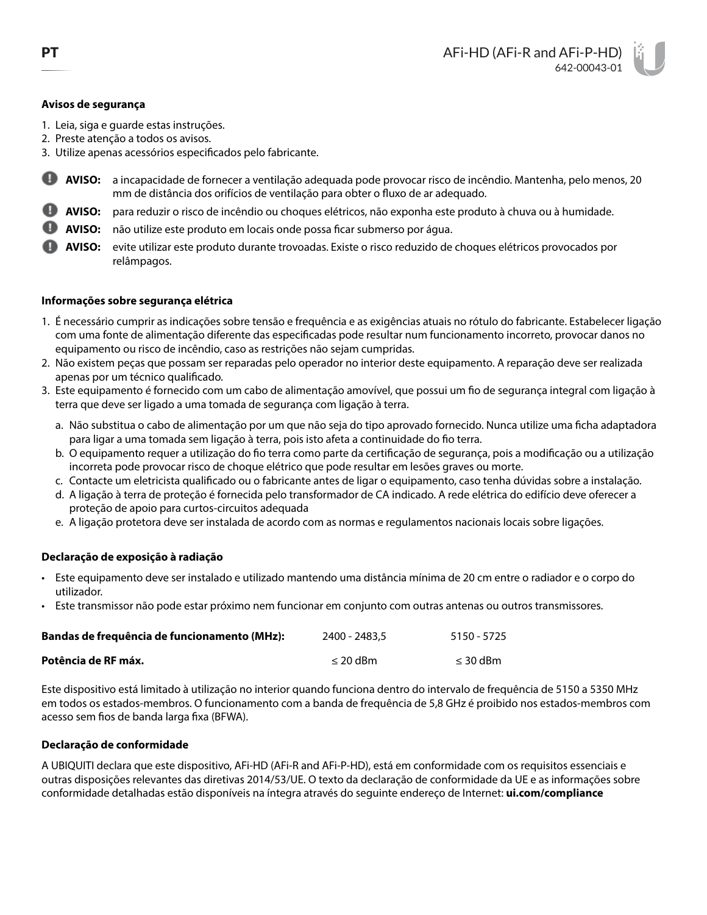## **Avisos de segurança**

- 1. Leia, siga e guarde estas instruções.
- 2. Preste atenção a todos os avisos.
- 3. Utilize apenas acessórios especificados pelo fabricante.
- o **AVISO:** a incapacidade de fornecer a ventilação adequada pode provocar risco de incêndio. Mantenha, pelo menos, 20 mm de distância dos orifícios de ventilação para obter o fluxo de ar adequado.
- **AVISO:** para reduzir o risco de incêndio ou choques elétricos, não exponha este produto à chuva ou à humidade.
- **AVISO:** não utilize este produto em locais onde possa ficar submerso por água.
- **AVISO:** evite utilizar este produto durante trovoadas. Existe o risco reduzido de choques elétricos provocados por relâmpagos.

### **Informações sobre segurança elétrica**

- 1. É necessário cumprir as indicações sobre tensão e frequência e as exigências atuais no rótulo do fabricante. Estabelecer ligação com uma fonte de alimentação diferente das especificadas pode resultar num funcionamento incorreto, provocar danos no equipamento ou risco de incêndio, caso as restrições não sejam cumpridas.
- 2. Não existem peças que possam ser reparadas pelo operador no interior deste equipamento. A reparação deve ser realizada apenas por um técnico qualificado.
- 3. Este equipamento é fornecido com um cabo de alimentação amovível, que possui um fio de segurança integral com ligação à terra que deve ser ligado a uma tomada de segurança com ligação à terra.
	- a. Não substitua o cabo de alimentação por um que não seja do tipo aprovado fornecido. Nunca utilize uma ficha adaptadora para ligar a uma tomada sem ligação à terra, pois isto afeta a continuidade do fio terra.
	- b. O equipamento requer a utilização do fio terra como parte da certificação de segurança, pois a modificação ou a utilização incorreta pode provocar risco de choque elétrico que pode resultar em lesões graves ou morte.
	- c. Contacte um eletricista qualificado ou o fabricante antes de ligar o equipamento, caso tenha dúvidas sobre a instalação.
	- d. A ligação à terra de proteção é fornecida pelo transformador de CA indicado. A rede elétrica do edifício deve oferecer a proteção de apoio para curtos-circuitos adequada
	- e. A ligação protetora deve ser instalada de acordo com as normas e regulamentos nacionais locais sobre ligações.

## **Declaração de exposição à radiação**

- Este equipamento deve ser instalado e utilizado mantendo uma distância mínima de 20 cm entre o radiador e o corpo do utilizador.
- Este transmissor não pode estar próximo nem funcionar em conjunto com outras antenas ou outros transmissores.

| Bandas de frequência de funcionamento (MHz): | 2400 - 2483.5 | 5150 - 5725   |
|----------------------------------------------|---------------|---------------|
| Potência de RF máx.                          | $\leq$ 20 dBm | $\leq$ 30 dBm |

Este dispositivo está limitado à utilização no interior quando funciona dentro do intervalo de frequência de 5150 a 5350 MHz em todos os estados-membros. O funcionamento com a banda de frequência de 5,8 GHz é proibido nos estados-membros com acesso sem fios de banda larga fixa (BFWA).

## **Declaração de conformidade**

A UBIQUITI declara que este dispositivo, AFi-HD (AFi-R and AFi-P-HD), está em conformidade com os requisitos essenciais e outras disposições relevantes das diretivas 2014/53/UE. O texto da declaração de conformidade da UE e as informações sobre conformidade detalhadas estão disponíveis na íntegra através do seguinte endereço de Internet: **[ui.com/compliance](http://ui.com/compliance)**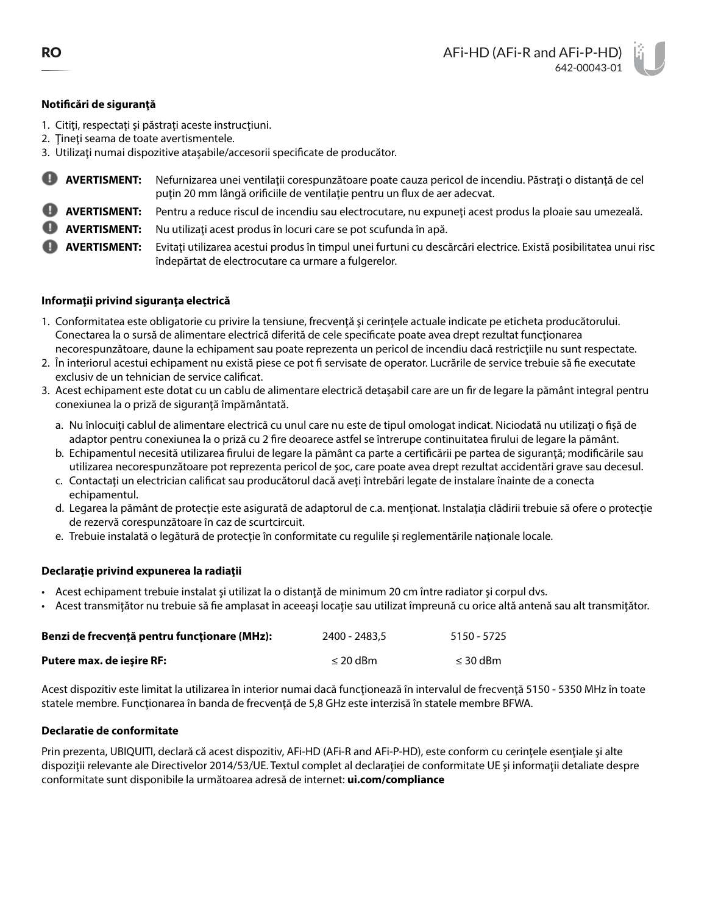# **Notificări de siguranţă**

- 1. Citiţi, respectaţi şi păstraţi aceste instrucţiuni.
- 2. Ţineţi seama de toate avertismentele.
- 3. Utilizaţi numai dispozitive ataşabile/accesorii specificate de producător.
	- **AVERTISMENT:** Nefurnizarea unei ventilaţii corespunzătoare poate cauza pericol de incendiu. Păstraţi o distanţă de cel puţin 20 mm lângă orificiile de ventilaţie pentru un flux de aer adecvat.
- **AVERTISMENT:** Pentru a reduce riscul de incendiu sau electrocutare, nu expuneţi acest produs la ploaie sau umezeală.
- **AVERTISMENT:** Nu utilizaţi acest produs în locuri care se pot scufunda în apă.
- **AVERTISMENT:** Evitaţi utilizarea acestui produs în timpul unei furtuni cu descărcări electrice. Există posibilitatea unui risc îndepărtat de electrocutare ca urmare a fulgerelor.

# **Informaţii privind siguranţa electrică**

- 1. Conformitatea este obligatorie cu privire la tensiune, frecvenţă şi cerinţele actuale indicate pe eticheta producătorului. Conectarea la o sursă de alimentare electrică diferită de cele specificate poate avea drept rezultat functionarea necorespunzătoare, daune la echipament sau poate reprezenta un pericol de incendiu dacă restricţiile nu sunt respectate.
- 2. În interiorul acestui echipament nu există piese ce pot fi servisate de operator. Lucrările de service trebuie să fie executate exclusiv de un tehnician de service calificat.
- 3. Acest echipament este dotat cu un cablu de alimentare electrică detaşabil care are un fir de legare la pământ integral pentru conexiunea la o priză de siguranţă împământată.
	- a. Nu înlocuiţi cablul de alimentare electrică cu unul care nu este de tipul omologat indicat. Niciodată nu utilizaţi o fişă de adaptor pentru conexiunea la o priză cu 2 fire deoarece astfel se întrerupe continuitatea firului de legare la pământ.
	- b. Echipamentul necesită utilizarea firului de legare la pământ ca parte a certificării pe partea de siguranță; modificările sau utilizarea necorespunzătoare pot reprezenta pericol de şoc, care poate avea drept rezultat accidentări grave sau decesul.
	- c. Contactaţi un electrician calificat sau producătorul dacă aveţi întrebări legate de instalare înainte de a conecta echipamentul.
	- d. Legarea la pământ de protecţie este asigurată de adaptorul de c.a. menţionat. Instalaţia clădirii trebuie să ofere o protecţie de rezervă corespunzătoare în caz de scurtcircuit.
	- e. Trebuie instalată o legătură de protecție în conformitate cu regulile și reglementările naționale locale.

## **Declaraţie privind expunerea la radiaţii**

- Acest echipament trebuie instalat şi utilizat la o distanţă de minimum 20 cm între radiator şi corpul dvs.
- Acest transmiţător nu trebuie să fie amplasat în aceeaşi locaţie sau utilizat împreună cu orice altă antenă sau alt transmiţător.

| Benzi de frecvență pentru funcționare (MHz): | 2400 - 2483.5 | 5150 - 5725   |
|----------------------------------------------|---------------|---------------|
| Putere max. de ieșire RF:                    | $\leq$ 20 dBm | $\leq$ 30 dBm |

Acest dispozitiv este limitat la utilizarea în interior numai dacă funcționează în intervalul de frecvență 5150 - 5350 MHz în toate statele membre. Funcționarea în banda de frecvență de 5,8 GHz este interzisă în statele membre BFWA.

## **Declaratie de conformitate**

Prin prezenta, UBIQUITI, declară că acest dispozitiv, AFi-HD (AFi-R and AFi-P-HD), este conform cu cerințele esențiale și alte dispoziţii relevante ale Directivelor 2014/53/UE. Textul complet al declaraţiei de conformitate UE şi informaţii detaliate despre conformitate sunt disponibile la următoarea adresă de internet: **[ui.com/compliance](http://ui.com/compliance)**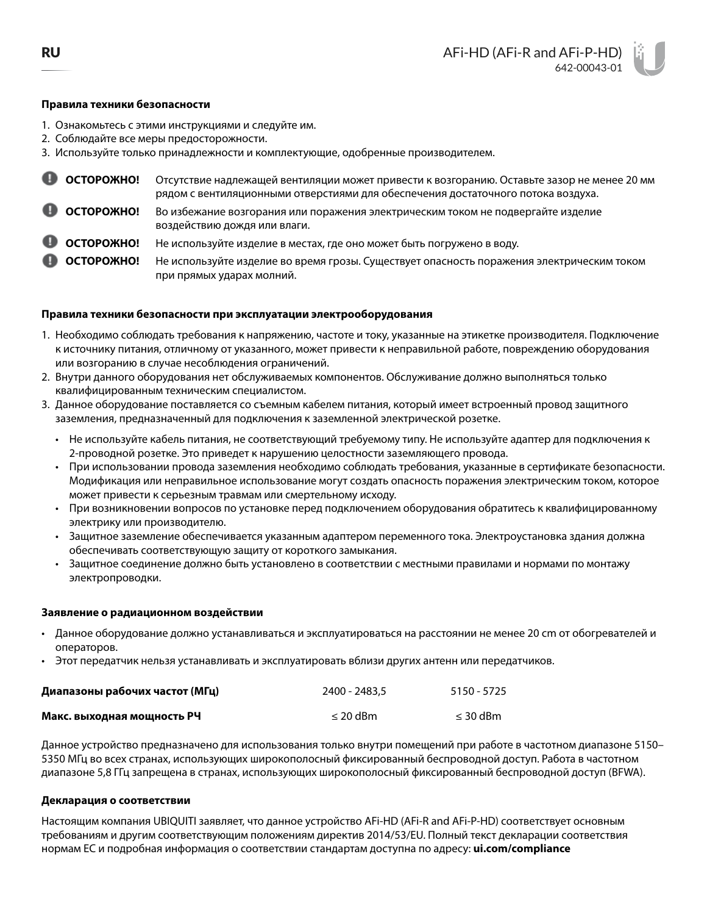#### **Правила техники безопасности**

- 1. Ознакомьтесь с этими инструкциями и следуйте им.
- 2. Соблюдайте все меры предосторожности.
- 3. Используйте только принадлежности и комплектующие, одобренные производителем.

| <b>C</b> OCTOPOXHO!               | Отсутствие надлежащей вентиляции может привести к возгоранию. Оставьте зазор не менее 20 мм<br>рядом с вентиляционными отверстиями для обеспечения достаточного потока воздуха. |
|-----------------------------------|---------------------------------------------------------------------------------------------------------------------------------------------------------------------------------|
| <b>C</b> OCTOPOXHO!               | Во избежание возгорания или поражения электрическим током не подвергайте изделие<br>воздействию дождя или влаги.                                                                |
| $\bullet$ OCTOPOXHO!              | Не используйте изделие в местах, где оно может быть погружено в воду.                                                                                                           |
| <b>CONTINUE CONTINUE CONTINUE</b> | Не используйте изделие во время грозы. Существует опасность поражения электрическим током<br>при прямых ударах молний.                                                          |

#### **Правила техники безопасности при эксплуатации электрооборудования**

- 1. Необходимо соблюдать требования к напряжению, частоте и току, указанные на этикетке производителя. Подключение к источнику питания, отличному от указанного, может привести к неправильной работе, повреждению оборудования или возгоранию в случае несоблюдения ограничений.
- 2. Внутри данного оборудования нет обслуживаемых компонентов. Обслуживание должно выполняться только квалифицированным техническим специалистом.
- 3. Данное оборудование поставляется со съемным кабелем питания, который имеет встроенный провод защитного заземления, предназначенный для подключения к заземленной электрической розетке.
	- Не используйте кабель питания, не соответствующий требуемому типу. Не используйте адаптер для подключения к 2-проводной розетке. Это приведет к нарушению целостности заземляющего провода.
	- При использовании провода заземления необходимо соблюдать требования, указанные в сертификате безопасности. Модификация или неправильное использование могут создать опасность поражения электрическим током, которое может привести к серьезным травмам или смертельному исходу.
	- При возникновении вопросов по установке перед подключением оборудования обратитесь к квалифицированному электрику или производителю.
	- Защитное заземление обеспечивается указанным адаптером переменного тока. Электроустановка здания должна обеспечивать соответствующую защиту от короткого замыкания.
	- Защитное соединение должно быть установлено в соответствии с местными правилами и нормами по монтажу электропроводки.

#### **Заявление о радиационном воздействии**

- Данное оборудование должно устанавливаться и эксплуатироваться на расстоянии не менее 20 cm от обогревателей и операторов.
- Этот передатчик нельзя устанавливать и эксплуатировать вблизи других антенн или передатчиков.

| Диапазоны рабочих частот (МГц) | 2400 - 2483.5 | 5150 - 5725   |
|--------------------------------|---------------|---------------|
| Макс. выходная мощность РЧ     | $\leq$ 20 dBm | $\leq$ 30 dBm |

Данное устройство предназначено для использования только внутри помещений при работе в частотном диапазоне 5150– 5350 МГц во всех странах, использующих широкополосный фиксированный беспроводной доступ. Работа в частотном диапазоне 5,8 ГГц запрещена в странах, использующих широкополосный фиксированный беспроводной доступ (BFWA).

#### **Декларация о соответствии**

Настоящим компания UBIQUITI заявляет, что данное устройство AFi-HD (AFi-R and AFi-P-HD) соответствует основным требованиям и другим соответствующим положениям директив 2014/53/EU. Полный текст декларации соответствия нормам ЕС и подробная информация о соответствии стандартам доступна по адресу: **[ui.com/compliance](http://ui.com/compliance)**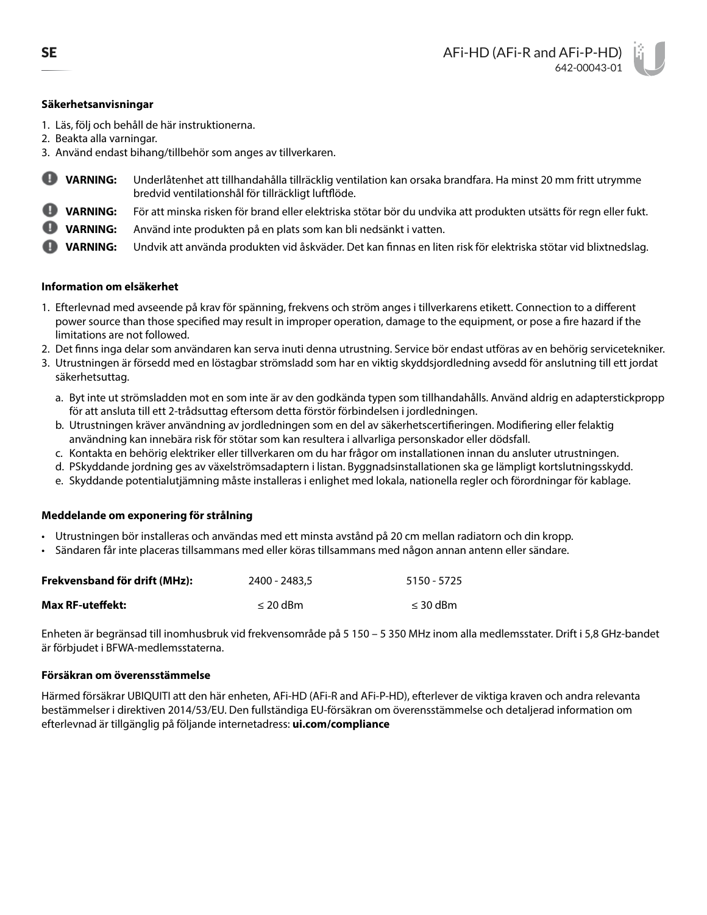## **Säkerhetsanvisningar**

- 1. Läs, följ och behåll de här instruktionerna.
- 2. Beakta alla varningar.
- 3. Använd endast bihang/tillbehör som anges av tillverkaren.
- o **VARNING:** Underlåtenhet att tillhandahålla tillräcklig ventilation kan orsaka brandfara. Ha minst 20 mm fritt utrymme bredvid ventilationshål för tillräckligt luftflöde.
- **VARNING:** För att minska risken för brand eller elektriska stötar bör du undvika att produkten utsätts för regn eller fukt.
- **VARNING:** Använd inte produkten på en plats som kan bli nedsänkt i vatten.
- **VARNING:** Undvik att använda produkten vid åskväder. Det kan finnas en liten risk för elektriska stötar vid blixtnedslag.

## **Information om elsäkerhet**

- 1. Efterlevnad med avseende på krav för spänning, frekvens och ström anges i tillverkarens etikett. Connection to a different power source than those specified may result in improper operation, damage to the equipment, or pose a fire hazard if the limitations are not followed.
- 2. Det finns inga delar som användaren kan serva inuti denna utrustning. Service bör endast utföras av en behörig servicetekniker.
- 3. Utrustningen är försedd med en löstagbar strömsladd som har en viktig skyddsjordledning avsedd för anslutning till ett jordat säkerhetsuttag.
	- a. Byt inte ut strömsladden mot en som inte är av den godkända typen som tillhandahålls. Använd aldrig en adapterstickpropp för att ansluta till ett 2-trådsuttag eftersom detta förstör förbindelsen i jordledningen.
	- b. Utrustningen kräver användning av jordledningen som en del av säkerhetscertifieringen. Modifiering eller felaktig användning kan innebära risk för stötar som kan resultera i allvarliga personskador eller dödsfall.
	- c. Kontakta en behörig elektriker eller tillverkaren om du har frågor om installationen innan du ansluter utrustningen.
	- d. PSkyddande jordning ges av växelströmsadaptern i listan. Byggnadsinstallationen ska ge lämpligt kortslutningsskydd.
	- e. Skyddande potentialutjämning måste installeras i enlighet med lokala, nationella regler och förordningar för kablage.

## **Meddelande om exponering för strålning**

- Utrustningen bör installeras och användas med ett minsta avstånd på 20 cm mellan radiatorn och din kropp.
- Sändaren får inte placeras tillsammans med eller köras tillsammans med någon annan antenn eller sändare.

| Frekvensband för drift (MHz): | 2400 - 2483.5 | 5150 - 5725   |
|-------------------------------|---------------|---------------|
| Max RF-uteffekt:              | $\leq$ 20 dBm | $\leq$ 30 dBm |

Enheten är begränsad till inomhusbruk vid frekvensområde på 5 150 – 5 350 MHz inom alla medlemsstater. Drift i 5,8 GHz-bandet är förbjudet i BFWA-medlemsstaterna.

## **Försäkran om överensstämmelse**

Härmed försäkrar UBIQUITI att den här enheten, AFi-HD (AFi-R and AFi-P-HD), efterlever de viktiga kraven och andra relevanta bestämmelser i direktiven 2014/53/EU. Den fullständiga EU-försäkran om överensstämmelse och detaljerad information om efterlevnad är tillgänglig på följande internetadress: **[ui.com/compliance](http://ui.com/compliance)**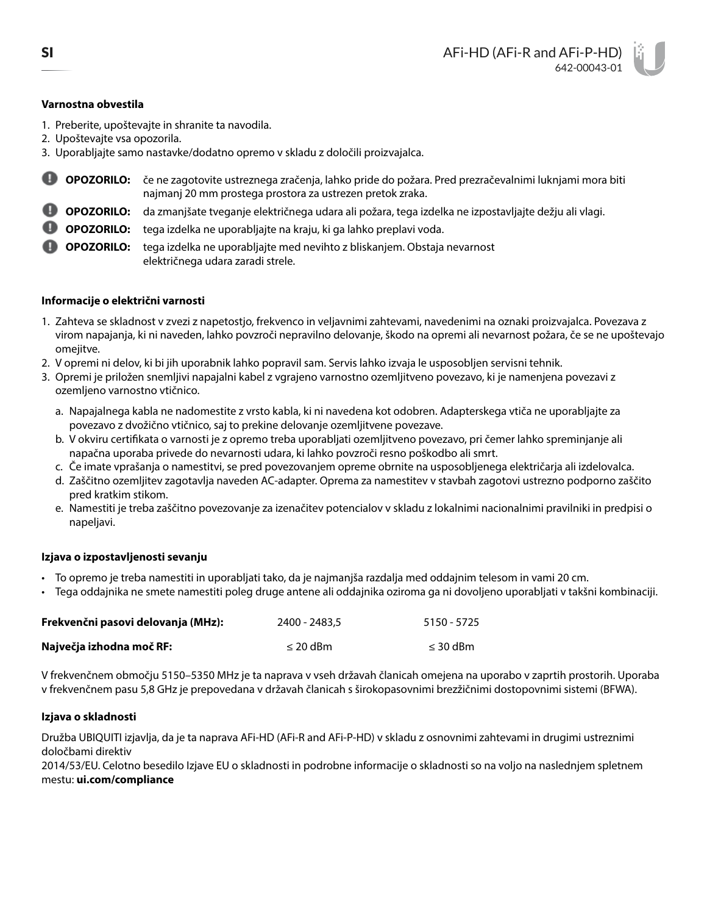# **Varnostna obvestila**

- 1. Preberite, upoštevajte in shranite ta navodila.
- 2. Upoštevajte vsa opozorila.
- 3. Uporabljajte samo nastavke/dodatno opremo v skladu z določili proizvajalca.
- **OPOZORILO:** če ne zagotovite ustreznega zračenja, lahko pride do požara. Pred prezračevalnimi luknjami mora biti najmanj 20 mm prostega prostora za ustrezen pretok zraka.
- **OPOZORILO:** da zmanjšate tveganje električnega udara ali požara, tega izdelka ne izpostavljajte dežju ali vlagi.
- **D OPOZORILO:** tega izdelka ne uporabljajte na kraju, ki ga lahko preplavi voda.

**OPOZORILO:** tega izdelka ne uporabljajte med nevihto z bliskanjem. Obstaja nevarnost električnega udara zaradi strele.

# **Informacije o električni varnosti**

- 1. Zahteva se skladnost v zvezi z napetostjo, frekvenco in veljavnimi zahtevami, navedenimi na oznaki proizvajalca. Povezava z virom napajanja, ki ni naveden, lahko povzroči nepravilno delovanje, škodo na opremi ali nevarnost požara, če se ne upoštevajo omejitve.
- 2. V opremi ni delov, ki bi jih uporabnik lahko popravil sam. Servis lahko izvaja le usposobljen servisni tehnik.
- 3. Opremi je priložen snemljivi napajalni kabel z vgrajeno varnostno ozemljitveno povezavo, ki je namenjena povezavi z ozemljeno varnostno vtičnico.
	- a. Napajalnega kabla ne nadomestite z vrsto kabla, ki ni navedena kot odobren. Adapterskega vtiča ne uporabljajte za povezavo z dvožično vtičnico, saj to prekine delovanje ozemljitvene povezave.
	- b. V okviru certifikata o varnosti je z opremo treba uporabljati ozemljitveno povezavo, pri čemer lahko spreminjanje ali napačna uporaba privede do nevarnosti udara, ki lahko povzroči resno poškodbo ali smrt.
	- c. Če imate vprašanja o namestitvi, se pred povezovanjem opreme obrnite na usposobljenega električarja ali izdelovalca.
	- d. Zaščitno ozemljitev zagotavlja naveden AC-adapter. Oprema za namestitev v stavbah zagotovi ustrezno podporno zaščito pred kratkim stikom.
	- e. Namestiti je treba zaščitno povezovanje za izenačitev potencialov v skladu z lokalnimi nacionalnimi pravilniki in predpisi o napeljavi.

## **Izjava o izpostavljenosti sevanju**

- To opremo je treba namestiti in uporabljati tako, da je najmanjša razdalja med oddajnim telesom in vami 20 cm.
- Tega oddajnika ne smete namestiti poleg druge antene ali oddajnika oziroma ga ni dovoljeno uporabljati v takšni kombinaciji.

| Frekvenčni pasovi delovanja (MHz): | 2400 - 2483.5 | 5150 - 5725   |
|------------------------------------|---------------|---------------|
| Največja izhodna moč RF:           | $\leq$ 20 dBm | $\leq$ 30 dBm |

V frekvenčnem območju 5150–5350 MHz je ta naprava v vseh državah članicah omejena na uporabo v zaprtih prostorih. Uporaba v frekvenčnem pasu 5,8 GHz je prepovedana v državah članicah s širokopasovnimi brezžičnimi dostopovnimi sistemi (BFWA).

## **Izjava o skladnosti**

Družba UBIQUITI izjavlja, da je ta naprava AFi-HD (AFi-R and AFi-P-HD) v skladu z osnovnimi zahtevami in drugimi ustreznimi določbami direktiv

2014/53/EU. Celotno besedilo Izjave EU o skladnosti in podrobne informacije o skladnosti so na voljo na naslednjem spletnem mestu: **[ui.com/compliance](http://ui.com/compliance)**